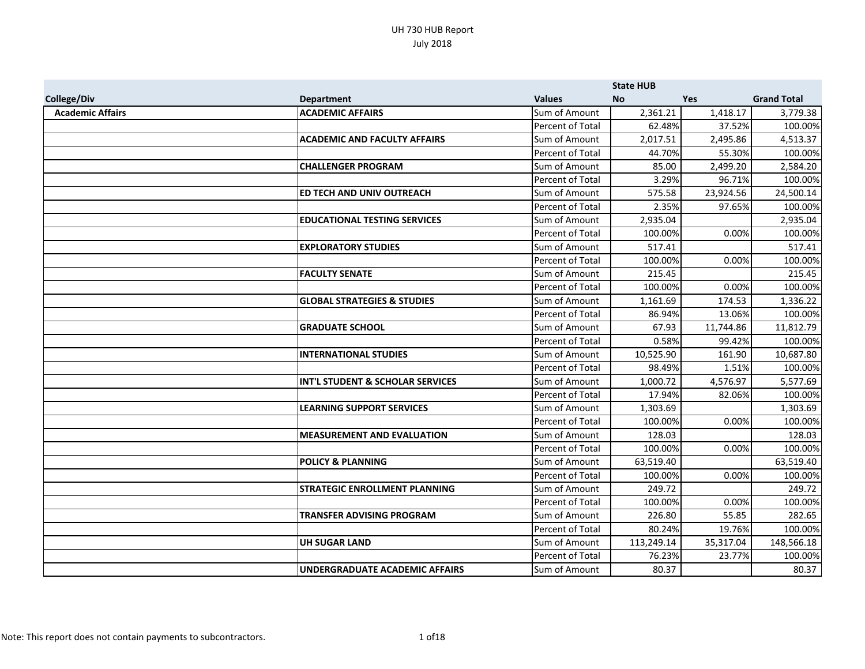|                         |                                        |                  | <b>State HUB</b> |            |                    |
|-------------------------|----------------------------------------|------------------|------------------|------------|--------------------|
| <b>College/Div</b>      | <b>Department</b>                      | <b>Values</b>    | <b>No</b>        | <b>Yes</b> | <b>Grand Total</b> |
| <b>Academic Affairs</b> | <b>ACADEMIC AFFAIRS</b>                | Sum of Amount    | 2,361.21         | 1,418.17   | 3,779.38           |
|                         |                                        | Percent of Total | 62.48%           | 37.52%     | 100.00%            |
|                         | <b>ACADEMIC AND FACULTY AFFAIRS</b>    | Sum of Amount    | 2,017.51         | 2,495.86   | 4,513.37           |
|                         |                                        | Percent of Total | 44.70%           | 55.30%     | 100.00%            |
|                         | <b>CHALLENGER PROGRAM</b>              | Sum of Amount    | 85.00            | 2,499.20   | 2,584.20           |
|                         |                                        | Percent of Total | 3.29%            | 96.71%     | 100.00%            |
|                         | ED TECH AND UNIV OUTREACH              | Sum of Amount    | 575.58           | 23,924.56  | 24,500.14          |
|                         |                                        | Percent of Total | 2.35%            | 97.65%     | 100.00%            |
|                         | <b>EDUCATIONAL TESTING SERVICES</b>    | Sum of Amount    | 2,935.04         |            | 2,935.04           |
|                         |                                        | Percent of Total | 100.00%          | 0.00%      | 100.00%            |
|                         | <b>EXPLORATORY STUDIES</b>             | Sum of Amount    | 517.41           |            | 517.41             |
|                         |                                        | Percent of Total | 100.00%          | 0.00%      | 100.00%            |
|                         | <b>FACULTY SENATE</b>                  | Sum of Amount    | 215.45           |            | 215.45             |
|                         |                                        | Percent of Total | 100.00%          | 0.00%      | 100.00%            |
|                         | <b>GLOBAL STRATEGIES &amp; STUDIES</b> | Sum of Amount    | 1,161.69         | 174.53     | 1,336.22           |
|                         |                                        | Percent of Total | 86.94%           | 13.06%     | 100.00%            |
|                         | <b>GRADUATE SCHOOL</b>                 | Sum of Amount    | 67.93            | 11,744.86  | 11,812.79          |
|                         |                                        | Percent of Total | 0.58%            | 99.42%     | 100.00%            |
|                         | <b>INTERNATIONAL STUDIES</b>           | Sum of Amount    | 10,525.90        | 161.90     | 10,687.80          |
|                         |                                        | Percent of Total | 98.49%           | 1.51%      | 100.00%            |
|                         | INT'L STUDENT & SCHOLAR SERVICES       | Sum of Amount    | 1,000.72         | 4,576.97   | 5,577.69           |
|                         |                                        | Percent of Total | 17.94%           | 82.06%     | 100.00%            |
|                         | <b>LEARNING SUPPORT SERVICES</b>       | Sum of Amount    | 1.303.69         |            | 1,303.69           |
|                         |                                        | Percent of Total | 100.00%          | 0.00%      | 100.00%            |
|                         | <b>MEASUREMENT AND EVALUATION</b>      | Sum of Amount    | 128.03           |            | 128.03             |
|                         |                                        | Percent of Total | 100.00%          | 0.00%      | 100.00%            |
|                         | <b>POLICY &amp; PLANNING</b>           | Sum of Amount    | 63,519.40        |            | 63,519.40          |
|                         |                                        | Percent of Total | 100.00%          | 0.00%      | 100.00%            |
|                         | <b>STRATEGIC ENROLLMENT PLANNING</b>   | Sum of Amount    | 249.72           |            | 249.72             |
|                         |                                        | Percent of Total | 100.00%          | 0.00%      | 100.00%            |
|                         | <b>TRANSFER ADVISING PROGRAM</b>       | Sum of Amount    | 226.80           | 55.85      | 282.65             |
|                         |                                        | Percent of Total | 80.24%           | 19.76%     | 100.00%            |
|                         | <b>UH SUGAR LAND</b>                   | Sum of Amount    | 113,249.14       | 35,317.04  | 148,566.18         |
|                         |                                        | Percent of Total | 76.23%           | 23.77%     | 100.00%            |
|                         | <b>UNDERGRADUATE ACADEMIC AFFAIRS</b>  | Sum of Amount    | 80.37            |            | 80.37              |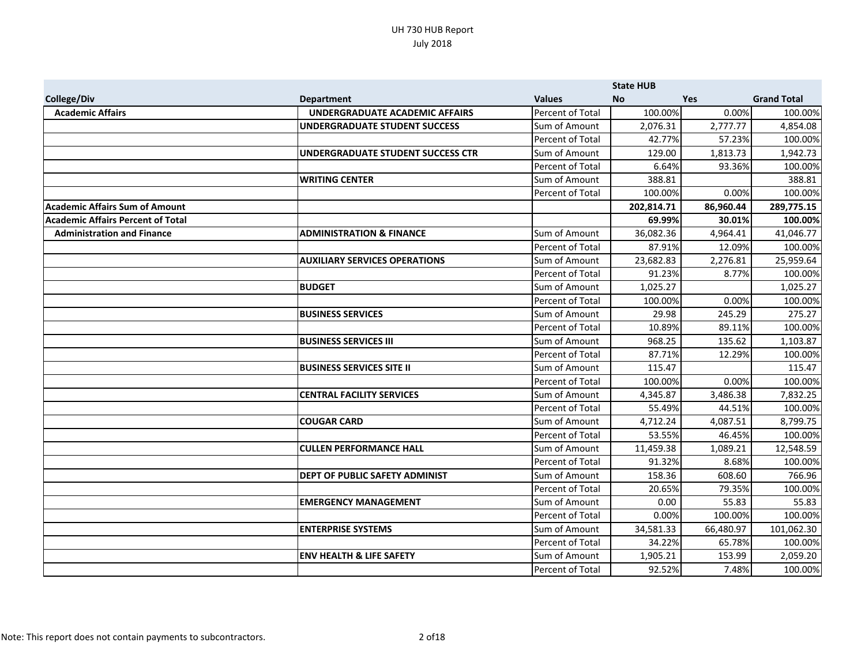|                                          |                                          |                         | <b>State HUB</b> |            |                    |
|------------------------------------------|------------------------------------------|-------------------------|------------------|------------|--------------------|
| <b>College/Div</b>                       | <b>Department</b>                        | <b>Values</b>           | <b>No</b>        | <b>Yes</b> | <b>Grand Total</b> |
| <b>Academic Affairs</b>                  | UNDERGRADUATE ACADEMIC AFFAIRS           | <b>Percent of Total</b> | 100.00%          | 0.00%      | 100.00%            |
|                                          | <b>UNDERGRADUATE STUDENT SUCCESS</b>     | Sum of Amount           | 2,076.31         | 2,777.77   | 4,854.08           |
|                                          |                                          | Percent of Total        | 42.77%           | 57.23%     | 100.00%            |
|                                          | <b>UNDERGRADUATE STUDENT SUCCESS CTR</b> | Sum of Amount           | 129.00           | 1,813.73   | 1,942.73           |
|                                          |                                          | Percent of Total        | 6.64%            | 93.36%     | 100.00%            |
|                                          | <b>WRITING CENTER</b>                    | Sum of Amount           | 388.81           |            | 388.81             |
|                                          |                                          | Percent of Total        | 100.00%          | 0.00%      | 100.00%            |
| <b>Academic Affairs Sum of Amount</b>    |                                          |                         | 202,814.71       | 86,960.44  | 289,775.15         |
| <b>Academic Affairs Percent of Total</b> |                                          |                         | 69.99%           | 30.01%     | 100.00%            |
| <b>Administration and Finance</b>        | <b>ADMINISTRATION &amp; FINANCE</b>      | Sum of Amount           | 36,082.36        | 4,964.41   | 41,046.77          |
|                                          |                                          | Percent of Total        | 87.91%           | 12.09%     | 100.00%            |
|                                          | <b>AUXILIARY SERVICES OPERATIONS</b>     | Sum of Amount           | 23,682.83        | 2,276.81   | 25,959.64          |
|                                          |                                          | Percent of Total        | 91.23%           | 8.77%      | 100.00%            |
|                                          | <b>BUDGET</b>                            | Sum of Amount           | 1,025.27         |            | 1,025.27           |
|                                          |                                          | Percent of Total        | 100.00%          | 0.00%      | 100.00%            |
|                                          | <b>BUSINESS SERVICES</b>                 | Sum of Amount           | 29.98            | 245.29     | 275.27             |
|                                          |                                          | Percent of Total        | 10.89%           | 89.11%     | 100.00%            |
|                                          | <b>BUSINESS SERVICES III</b>             | Sum of Amount           | 968.25           | 135.62     | 1,103.87           |
|                                          |                                          | Percent of Total        | 87.71%           | 12.29%     | 100.00%            |
|                                          | <b>BUSINESS SERVICES SITE II</b>         | Sum of Amount           | 115.47           |            | 115.47             |
|                                          |                                          | Percent of Total        | 100.00%          | 0.00%      | 100.00%            |
|                                          | <b>CENTRAL FACILITY SERVICES</b>         | Sum of Amount           | 4,345.87         | 3,486.38   | 7,832.25           |
|                                          |                                          | Percent of Total        | 55.49%           | 44.51%     | 100.00%            |
|                                          | <b>COUGAR CARD</b>                       | Sum of Amount           | 4,712.24         | 4,087.51   | 8,799.75           |
|                                          |                                          | Percent of Total        | 53.55%           | 46.45%     | 100.00%            |
|                                          | <b>CULLEN PERFORMANCE HALL</b>           | Sum of Amount           | 11,459.38        | 1,089.21   | 12,548.59          |
|                                          |                                          | Percent of Total        | 91.32%           | 8.68%      | 100.00%            |
|                                          | DEPT OF PUBLIC SAFETY ADMINIST           | Sum of Amount           | 158.36           | 608.60     | 766.96             |
|                                          |                                          | Percent of Total        | 20.65%           | 79.35%     | 100.00%            |
|                                          | <b>EMERGENCY MANAGEMENT</b>              | Sum of Amount           | 0.00             | 55.83      | 55.83              |
|                                          |                                          | Percent of Total        | 0.00%            | 100.00%    | 100.00%            |
|                                          | <b>ENTERPRISE SYSTEMS</b>                | Sum of Amount           | 34,581.33        | 66,480.97  | 101,062.30         |
|                                          |                                          | Percent of Total        | 34.22%           | 65.78%     | 100.00%            |
|                                          | <b>ENV HEALTH &amp; LIFE SAFETY</b>      | Sum of Amount           | 1,905.21         | 153.99     | 2,059.20           |
|                                          |                                          | Percent of Total        | 92.52%           | 7.48%      | 100.00%            |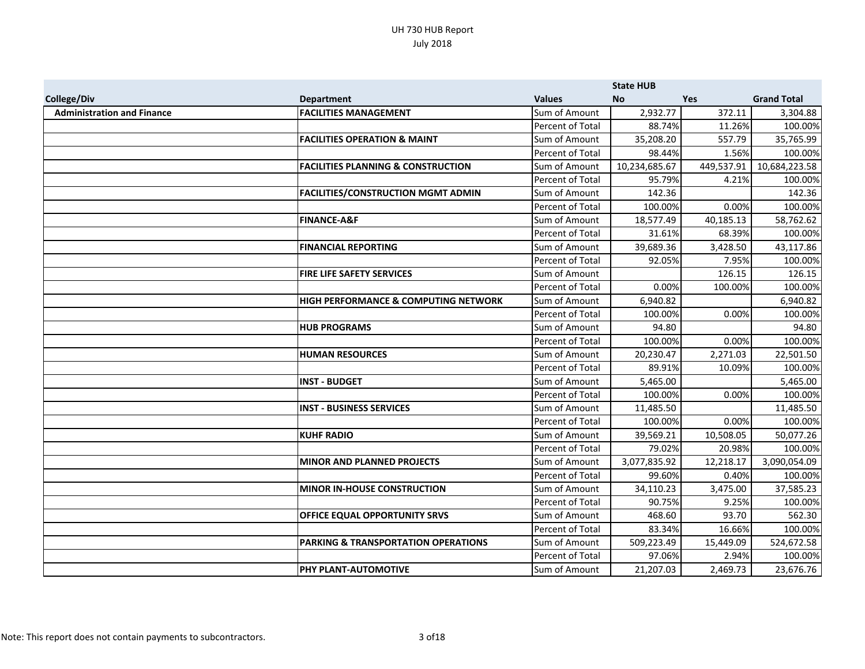|                                   |                                                |                  | <b>State HUB</b> |            |                    |
|-----------------------------------|------------------------------------------------|------------------|------------------|------------|--------------------|
| <b>College/Div</b>                | <b>Department</b>                              | <b>Values</b>    | <b>No</b>        | <b>Yes</b> | <b>Grand Total</b> |
| <b>Administration and Finance</b> | <b>FACILITIES MANAGEMENT</b>                   | Sum of Amount    | 2,932.77         | 372.11     | 3,304.88           |
|                                   |                                                | Percent of Total | 88.74%           | 11.26%     | 100.00%            |
|                                   | <b>FACILITIES OPERATION &amp; MAINT</b>        | Sum of Amount    | 35,208.20        | 557.79     | 35,765.99          |
|                                   |                                                | Percent of Total | 98.44%           | 1.56%      | 100.00%            |
|                                   | <b>FACILITIES PLANNING &amp; CONSTRUCTION</b>  | Sum of Amount    | 10,234,685.67    | 449,537.91 | 10,684,223.58      |
|                                   |                                                | Percent of Total | 95.79%           | 4.21%      | 100.00%            |
|                                   | <b>FACILITIES/CONSTRUCTION MGMT ADMIN</b>      | Sum of Amount    | 142.36           |            | 142.36             |
|                                   |                                                | Percent of Total | 100.00%          | 0.00%      | 100.00%            |
|                                   | <b>FINANCE-A&amp;F</b>                         | Sum of Amount    | 18,577.49        | 40,185.13  | 58,762.62          |
|                                   |                                                | Percent of Total | 31.61%           | 68.39%     | 100.00%            |
|                                   | <b>FINANCIAL REPORTING</b>                     | Sum of Amount    | 39,689.36        | 3,428.50   | 43,117.86          |
|                                   |                                                | Percent of Total | 92.05%           | 7.95%      | 100.00%            |
|                                   | FIRE LIFE SAFETY SERVICES                      | Sum of Amount    |                  | 126.15     | 126.15             |
|                                   |                                                | Percent of Total | 0.00%            | 100.00%    | 100.00%            |
|                                   | HIGH PERFORMANCE & COMPUTING NETWORK           | Sum of Amount    | 6,940.82         |            | 6,940.82           |
|                                   |                                                | Percent of Total | 100.00%          | 0.00%      | 100.00%            |
|                                   | <b>HUB PROGRAMS</b>                            | Sum of Amount    | 94.80            |            | 94.80              |
|                                   |                                                | Percent of Total | 100.00%          | 0.00%      | 100.00%            |
|                                   | <b>HUMAN RESOURCES</b>                         | Sum of Amount    | 20,230.47        | 2,271.03   | 22,501.50          |
|                                   |                                                | Percent of Total | 89.91%           | 10.09%     | 100.00%            |
|                                   | <b>INST - BUDGET</b>                           | Sum of Amount    | 5,465.00         |            | 5,465.00           |
|                                   |                                                | Percent of Total | 100.00%          | 0.00%      | 100.00%            |
|                                   | <b>INST - BUSINESS SERVICES</b>                | Sum of Amount    | 11,485.50        |            | 11,485.50          |
|                                   |                                                | Percent of Total | 100.00%          | 0.00%      | 100.00%            |
|                                   | <b>KUHF RADIO</b>                              | Sum of Amount    | 39,569.21        | 10,508.05  | 50,077.26          |
|                                   |                                                | Percent of Total | 79.02%           | 20.98%     | 100.00%            |
|                                   | <b>MINOR AND PLANNED PROJECTS</b>              | Sum of Amount    | 3,077,835.92     | 12,218.17  | 3,090,054.09       |
|                                   |                                                | Percent of Total | 99.60%           | 0.40%      | 100.00%            |
|                                   | <b>MINOR IN-HOUSE CONSTRUCTION</b>             | Sum of Amount    | 34,110.23        | 3,475.00   | 37,585.23          |
|                                   |                                                | Percent of Total | 90.75%           | 9.25%      | 100.00%            |
|                                   | OFFICE EQUAL OPPORTUNITY SRVS                  | Sum of Amount    | 468.60           | 93.70      | 562.30             |
|                                   |                                                | Percent of Total | 83.34%           | 16.66%     | 100.00%            |
|                                   | <b>PARKING &amp; TRANSPORTATION OPERATIONS</b> | Sum of Amount    | 509,223.49       | 15,449.09  | 524,672.58         |
|                                   |                                                | Percent of Total | 97.06%           | 2.94%      | 100.00%            |
|                                   | PHY PLANT-AUTOMOTIVE                           | Sum of Amount    | 21,207.03        | 2,469.73   | 23,676.76          |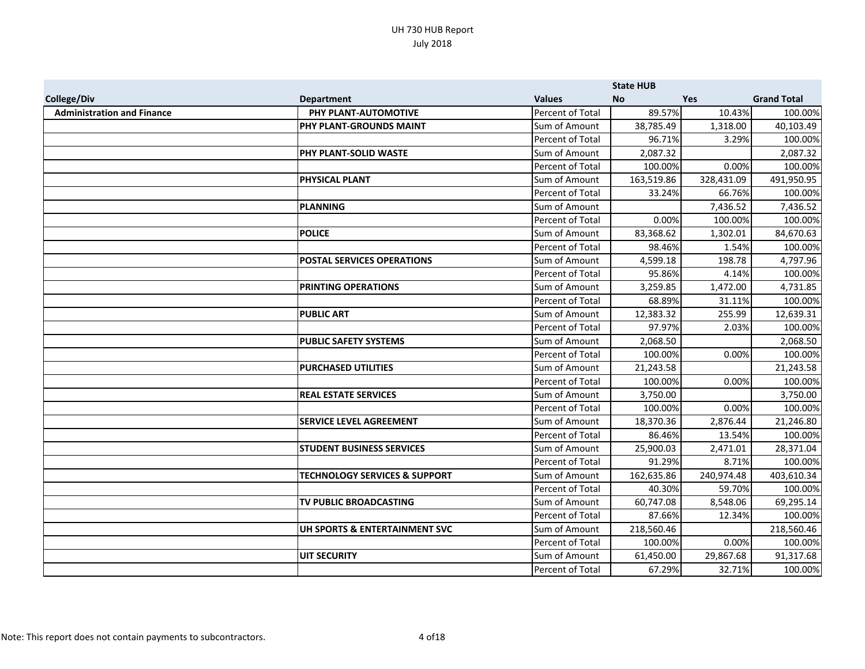|                                   |                                          |                         | <b>State HUB</b> |            |                    |
|-----------------------------------|------------------------------------------|-------------------------|------------------|------------|--------------------|
| College/Div                       | <b>Department</b>                        | <b>Values</b>           | <b>No</b>        | <b>Yes</b> | <b>Grand Total</b> |
| <b>Administration and Finance</b> | PHY PLANT-AUTOMOTIVE                     | <b>Percent of Total</b> | 89.57%           | 10.43%     | 100.00%            |
|                                   | <b>PHY PLANT-GROUNDS MAINT</b>           | Sum of Amount           | 38,785.49        | 1,318.00   | 40,103.49          |
|                                   |                                          | Percent of Total        | 96.71%           | 3.29%      | 100.00%            |
|                                   | PHY PLANT-SOLID WASTE                    | Sum of Amount           | 2,087.32         |            | 2,087.32           |
|                                   |                                          | Percent of Total        | 100.00%          | 0.00%      | 100.00%            |
|                                   | PHYSICAL PLANT                           | Sum of Amount           | 163,519.86       | 328,431.09 | 491,950.95         |
|                                   |                                          | Percent of Total        | 33.24%           | 66.76%     | 100.00%            |
|                                   | <b>PLANNING</b>                          | Sum of Amount           |                  | 7,436.52   | 7,436.52           |
|                                   |                                          | Percent of Total        | 0.00%            | 100.00%    | 100.00%            |
|                                   | <b>POLICE</b>                            | Sum of Amount           | 83,368.62        | 1,302.01   | 84,670.63          |
|                                   |                                          | Percent of Total        | 98.46%           | 1.54%      | 100.00%            |
|                                   | <b>POSTAL SERVICES OPERATIONS</b>        | Sum of Amount           | 4,599.18         | 198.78     | 4,797.96           |
|                                   |                                          | Percent of Total        | 95.86%           | 4.14%      | 100.00%            |
|                                   | PRINTING OPERATIONS                      | Sum of Amount           | 3,259.85         | 1,472.00   | 4,731.85           |
|                                   |                                          | Percent of Total        | 68.89%           | 31.11%     | 100.00%            |
|                                   | <b>PUBLIC ART</b>                        | Sum of Amount           | 12,383.32        | 255.99     | 12,639.31          |
|                                   |                                          | Percent of Total        | 97.97%           | 2.03%      | 100.00%            |
|                                   | <b>PUBLIC SAFETY SYSTEMS</b>             | Sum of Amount           | 2,068.50         |            | 2,068.50           |
|                                   |                                          | Percent of Total        | 100.00%          | 0.00%      | 100.00%            |
|                                   | <b>PURCHASED UTILITIES</b>               | Sum of Amount           | 21,243.58        |            | 21,243.58          |
|                                   |                                          | Percent of Total        | 100.00%          | 0.00%      | 100.00%            |
|                                   | <b>REAL ESTATE SERVICES</b>              | Sum of Amount           | 3,750.00         |            | 3,750.00           |
|                                   |                                          | Percent of Total        | 100.00%          | 0.00%      | 100.00%            |
|                                   | <b>SERVICE LEVEL AGREEMENT</b>           | Sum of Amount           | 18,370.36        | 2,876.44   | 21,246.80          |
|                                   |                                          | Percent of Total        | 86.46%           | 13.54%     | 100.00%            |
|                                   | <b>STUDENT BUSINESS SERVICES</b>         | Sum of Amount           | 25,900.03        | 2,471.01   | 28,371.04          |
|                                   |                                          | Percent of Total        | 91.29%           | 8.71%      | 100.00%            |
|                                   | <b>TECHNOLOGY SERVICES &amp; SUPPORT</b> | Sum of Amount           | 162,635.86       | 240,974.48 | 403,610.34         |
|                                   |                                          | Percent of Total        | 40.30%           | 59.70%     | 100.00%            |
|                                   | <b>TV PUBLIC BROADCASTING</b>            | Sum of Amount           | 60,747.08        | 8,548.06   | 69,295.14          |
|                                   |                                          | Percent of Total        | 87.66%           | 12.34%     | 100.00%            |
|                                   | UH SPORTS & ENTERTAINMENT SVC            | Sum of Amount           | 218,560.46       |            | 218,560.46         |
|                                   |                                          | Percent of Total        | 100.00%          | 0.00%      | 100.00%            |
|                                   | <b>UIT SECURITY</b>                      | Sum of Amount           | 61,450.00        | 29,867.68  | 91,317.68          |
|                                   |                                          | Percent of Total        | 67.29%           | 32.71%     | 100.00%            |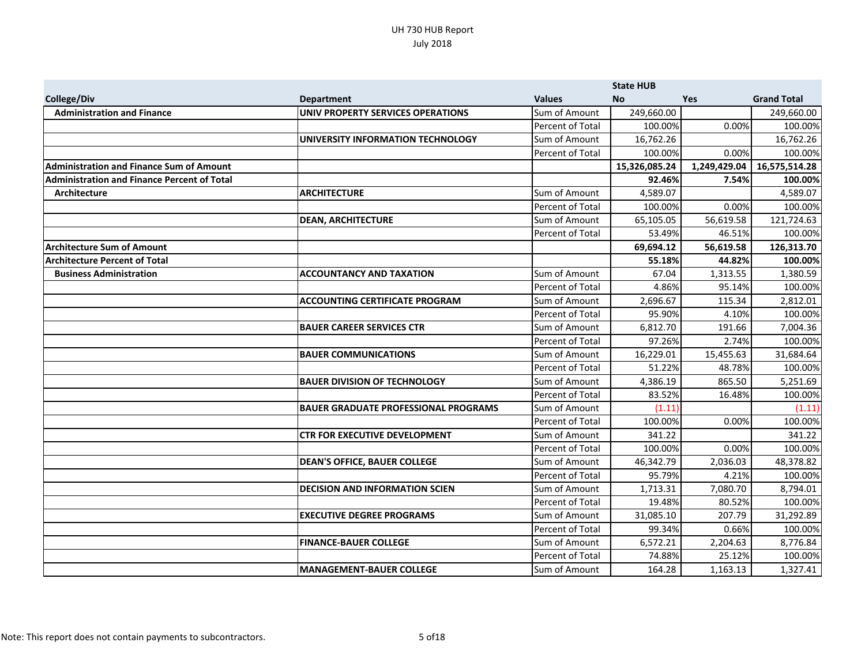|                                                    |                                             |                         | <b>State HUB</b> |              |                    |
|----------------------------------------------------|---------------------------------------------|-------------------------|------------------|--------------|--------------------|
| <b>College/Div</b>                                 | <b>Department</b>                           | <b>Values</b>           | <b>No</b>        | <b>Yes</b>   | <b>Grand Total</b> |
| <b>Administration and Finance</b>                  | UNIV PROPERTY SERVICES OPERATIONS           | Sum of Amount           | 249,660.00       |              | 249,660.00         |
|                                                    |                                             | Percent of Total        | 100.00%          | 0.00%        | 100.00%            |
|                                                    | UNIVERSITY INFORMATION TECHNOLOGY           | Sum of Amount           | 16,762.26        |              | 16,762.26          |
|                                                    |                                             | Percent of Total        | 100.00%          | 0.00%        | 100.00%            |
| <b>Administration and Finance Sum of Amount</b>    |                                             |                         | 15,326,085.24    | 1,249,429.04 | 16,575,514.28      |
| <b>Administration and Finance Percent of Total</b> |                                             |                         | 92.46%           | 7.54%        | 100.00%            |
| Architecture                                       | <b>ARCHITECTURE</b>                         | Sum of Amount           | 4,589.07         |              | 4,589.07           |
|                                                    |                                             | Percent of Total        | 100.00%          | 0.00%        | 100.00%            |
|                                                    | <b>DEAN, ARCHITECTURE</b>                   | Sum of Amount           | 65,105.05        | 56,619.58    | 121,724.63         |
|                                                    |                                             | Percent of Total        | 53.49%           | 46.51%       | 100.00%            |
| <b>Architecture Sum of Amount</b>                  |                                             |                         | 69,694.12        | 56,619.58    | 126,313.70         |
| <b>Architecture Percent of Total</b>               |                                             |                         | 55.18%           | 44.82%       | 100.00%            |
| <b>Business Administration</b>                     | <b>ACCOUNTANCY AND TAXATION</b>             | Sum of Amount           | 67.04            | 1,313.55     | 1,380.59           |
|                                                    |                                             | <b>Percent of Total</b> | 4.86%            | 95.14%       | 100.00%            |
|                                                    | <b>ACCOUNTING CERTIFICATE PROGRAM</b>       | Sum of Amount           | 2,696.67         | 115.34       | 2,812.01           |
|                                                    |                                             | Percent of Total        | 95.90%           | 4.10%        | 100.00%            |
|                                                    | <b>BAUER CAREER SERVICES CTR</b>            | Sum of Amount           | 6,812.70         | 191.66       | 7,004.36           |
|                                                    |                                             | <b>Percent of Total</b> | 97.26%           | 2.74%        | 100.00%            |
|                                                    | <b>BAUER COMMUNICATIONS</b>                 | Sum of Amount           | 16,229.01        | 15,455.63    | 31,684.64          |
|                                                    |                                             | Percent of Total        | 51.22%           | 48.78%       | 100.00%            |
|                                                    | <b>BAUER DIVISION OF TECHNOLOGY</b>         | Sum of Amount           | 4,386.19         | 865.50       | 5,251.69           |
|                                                    |                                             | Percent of Total        | 83.52%           | 16.48%       | 100.00%            |
|                                                    | <b>BAUER GRADUATE PROFESSIONAL PROGRAMS</b> | Sum of Amount           | (1.11)           |              | (1.11)             |
|                                                    |                                             | Percent of Total        | 100.00%          | 0.00%        | 100.00%            |
|                                                    | <b>CTR FOR EXECUTIVE DEVELOPMENT</b>        | Sum of Amount           | 341.22           |              | 341.22             |
|                                                    |                                             | <b>Percent of Total</b> | 100.00%          | 0.00%        | 100.00%            |
|                                                    | <b>DEAN'S OFFICE, BAUER COLLEGE</b>         | Sum of Amount           | 46,342.79        | 2,036.03     | 48,378.82          |
|                                                    |                                             | Percent of Total        | 95.79%           | 4.21%        | 100.00%            |
|                                                    | <b>DECISION AND INFORMATION SCIEN</b>       | Sum of Amount           | 1,713.31         | 7,080.70     | 8,794.01           |
|                                                    |                                             | Percent of Total        | 19.48%           | 80.52%       | 100.00%            |
|                                                    | <b>EXECUTIVE DEGREE PROGRAMS</b>            | Sum of Amount           | 31,085.10        | 207.79       | 31,292.89          |
|                                                    |                                             | Percent of Total        | 99.34%           | 0.66%        | 100.00%            |
|                                                    | <b>FINANCE-BAUER COLLEGE</b>                | Sum of Amount           | 6,572.21         | 2,204.63     | 8,776.84           |
|                                                    |                                             | Percent of Total        | 74.88%           | 25.12%       | 100.00%            |
|                                                    | <b>MANAGEMENT-BAUER COLLEGE</b>             | Sum of Amount           | 164.28           | 1,163.13     | 1,327.41           |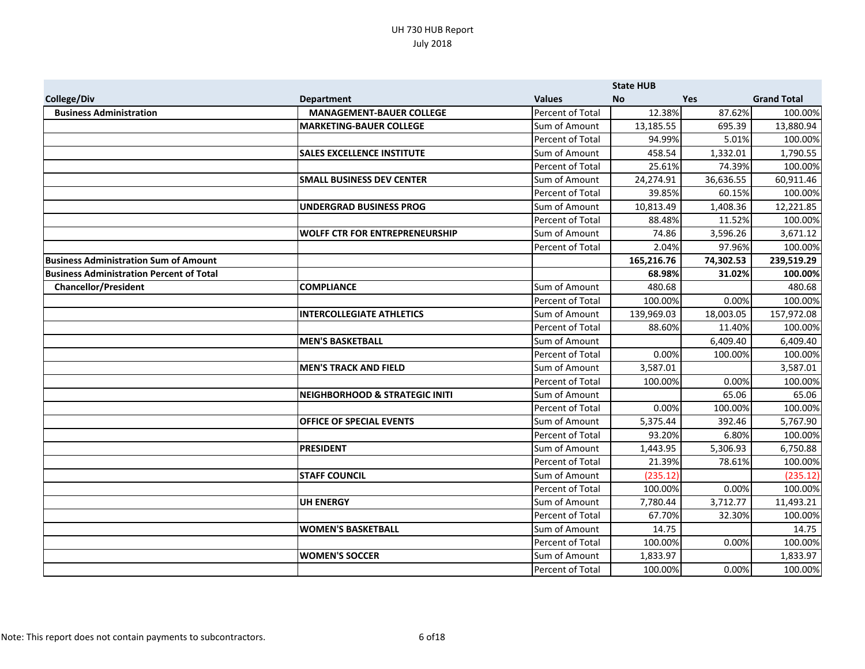|                                                 |                                           |                  | <b>State HUB</b> |            |                    |
|-------------------------------------------------|-------------------------------------------|------------------|------------------|------------|--------------------|
| <b>College/Div</b>                              | <b>Department</b>                         | <b>Values</b>    | <b>No</b>        | <b>Yes</b> | <b>Grand Total</b> |
| <b>Business Administration</b>                  | <b>MANAGEMENT-BAUER COLLEGE</b>           | Percent of Total | 12.38%           | 87.62%     | 100.00%            |
|                                                 | <b>MARKETING-BAUER COLLEGE</b>            | Sum of Amount    | 13,185.55        | 695.39     | 13,880.94          |
|                                                 |                                           | Percent of Total | 94.99%           | 5.01%      | 100.00%            |
|                                                 | <b>SALES EXCELLENCE INSTITUTE</b>         | Sum of Amount    | 458.54           | 1,332.01   | 1,790.55           |
|                                                 |                                           | Percent of Total | 25.61%           | 74.39%     | 100.00%            |
|                                                 | <b>SMALL BUSINESS DEV CENTER</b>          | Sum of Amount    | 24,274.91        | 36,636.55  | 60,911.46          |
|                                                 |                                           | Percent of Total | 39.85%           | 60.15%     | 100.00%            |
|                                                 | <b>UNDERGRAD BUSINESS PROG</b>            | Sum of Amount    | 10,813.49        | 1,408.36   | 12,221.85          |
|                                                 |                                           | Percent of Total | 88.48%           | 11.52%     | 100.00%            |
|                                                 | <b>WOLFF CTR FOR ENTREPRENEURSHIP</b>     | Sum of Amount    | 74.86            | 3,596.26   | 3,671.12           |
|                                                 |                                           | Percent of Total | 2.04%            | 97.96%     | 100.00%            |
| <b>Business Administration Sum of Amount</b>    |                                           |                  | 165,216.76       | 74,302.53  | 239,519.29         |
| <b>Business Administration Percent of Total</b> |                                           |                  | 68.98%           | 31.02%     | 100.00%            |
| <b>Chancellor/President</b>                     | <b>COMPLIANCE</b>                         | Sum of Amount    | 480.68           |            | 480.68             |
|                                                 |                                           | Percent of Total | 100.00%          | 0.00%      | 100.00%            |
|                                                 | <b>INTERCOLLEGIATE ATHLETICS</b>          | Sum of Amount    | 139,969.03       | 18,003.05  | 157,972.08         |
|                                                 |                                           | Percent of Total | 88.60%           | 11.40%     | 100.00%            |
|                                                 | <b>MEN'S BASKETBALL</b>                   | Sum of Amount    |                  | 6,409.40   | 6,409.40           |
|                                                 |                                           | Percent of Total | 0.00%            | 100.00%    | 100.00%            |
|                                                 | <b>MEN'S TRACK AND FIELD</b>              | Sum of Amount    | 3,587.01         |            | 3,587.01           |
|                                                 |                                           | Percent of Total | 100.00%          | 0.00%      | 100.00%            |
|                                                 | <b>NEIGHBORHOOD &amp; STRATEGIC INITI</b> | Sum of Amount    |                  | 65.06      | 65.06              |
|                                                 |                                           | Percent of Total | 0.00%            | 100.00%    | 100.00%            |
|                                                 | <b>OFFICE OF SPECIAL EVENTS</b>           | Sum of Amount    | 5,375.44         | 392.46     | 5,767.90           |
|                                                 |                                           | Percent of Total | 93.20%           | 6.80%      | 100.00%            |
|                                                 | <b>PRESIDENT</b>                          | Sum of Amount    | 1,443.95         | 5,306.93   | 6,750.88           |
|                                                 |                                           | Percent of Total | 21.39%           | 78.61%     | 100.00%            |
|                                                 | <b>STAFF COUNCIL</b>                      | Sum of Amount    | (235.12)         |            | (235.12)           |
|                                                 |                                           | Percent of Total | 100.00%          | 0.00%      | 100.00%            |
|                                                 | <b>UH ENERGY</b>                          | Sum of Amount    | 7,780.44         | 3,712.77   | 11,493.21          |
|                                                 |                                           | Percent of Total | 67.70%           | 32.30%     | 100.00%            |
|                                                 | <b>WOMEN'S BASKETBALL</b>                 | Sum of Amount    | 14.75            |            | 14.75              |
|                                                 |                                           | Percent of Total | 100.00%          | 0.00%      | 100.00%            |
|                                                 | <b>WOMEN'S SOCCER</b>                     | Sum of Amount    | 1,833.97         |            | 1,833.97           |
|                                                 |                                           | Percent of Total | 100.00%          | 0.00%      | 100.00%            |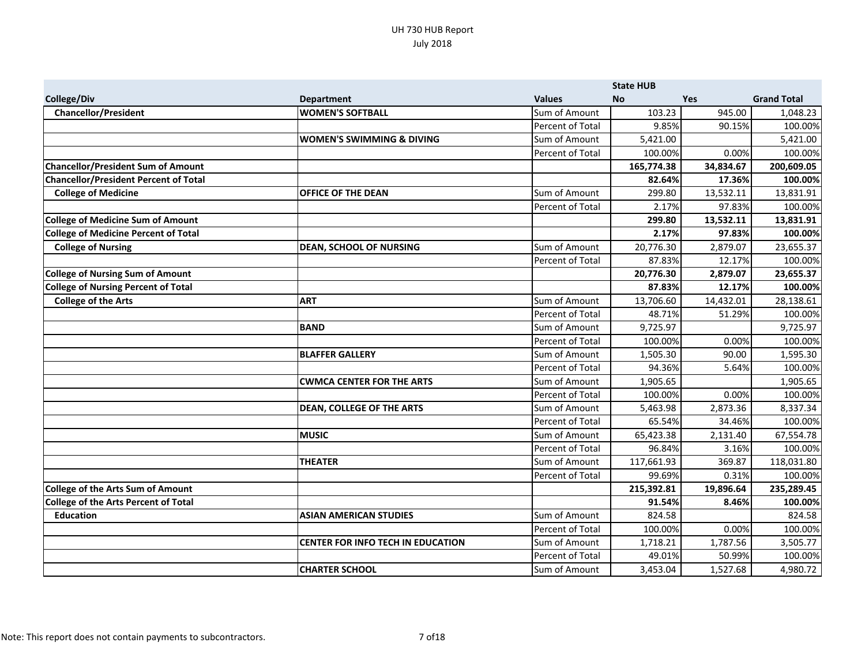|                                              |                                          |                  | <b>State HUB</b> |            |                    |
|----------------------------------------------|------------------------------------------|------------------|------------------|------------|--------------------|
| College/Div                                  | <b>Department</b>                        | <b>Values</b>    | <b>No</b>        | <b>Yes</b> | <b>Grand Total</b> |
| <b>Chancellor/President</b>                  | <b>WOMEN'S SOFTBALL</b>                  | Sum of Amount    | 103.23           | 945.00     | 1,048.23           |
|                                              |                                          | Percent of Total | 9.85%            | 90.15%     | 100.00%            |
|                                              | <b>WOMEN'S SWIMMING &amp; DIVING</b>     | Sum of Amount    | 5,421.00         |            | 5,421.00           |
|                                              |                                          | Percent of Total | 100.00%          | 0.00%      | 100.00%            |
| <b>Chancellor/President Sum of Amount</b>    |                                          |                  | 165,774.38       | 34,834.67  | 200,609.05         |
| <b>Chancellor/President Percent of Total</b> |                                          |                  | 82.64%           | 17.36%     | 100.00%            |
| <b>College of Medicine</b>                   | <b>OFFICE OF THE DEAN</b>                | Sum of Amount    | 299.80           | 13,532.11  | 13,831.91          |
|                                              |                                          | Percent of Total | 2.17%            | 97.83%     | 100.00%            |
| <b>College of Medicine Sum of Amount</b>     |                                          |                  | 299.80           | 13,532.11  | 13,831.91          |
| <b>College of Medicine Percent of Total</b>  |                                          |                  | 2.17%            | 97.83%     | 100.00%            |
| <b>College of Nursing</b>                    | <b>DEAN, SCHOOL OF NURSING</b>           | Sum of Amount    | 20,776.30        | 2,879.07   | 23,655.37          |
|                                              |                                          | Percent of Total | 87.83%           | 12.17%     | 100.00%            |
| <b>College of Nursing Sum of Amount</b>      |                                          |                  | 20,776.30        | 2,879.07   | 23,655.37          |
| <b>College of Nursing Percent of Total</b>   |                                          |                  | 87.83%           | 12.17%     | 100.00%            |
| <b>College of the Arts</b>                   | <b>ART</b>                               | Sum of Amount    | 13,706.60        | 14,432.01  | 28,138.61          |
|                                              |                                          | Percent of Total | 48.71%           | 51.29%     | 100.00%            |
|                                              | <b>BAND</b>                              | Sum of Amount    | 9,725.97         |            | 9,725.97           |
|                                              |                                          | Percent of Total | 100.00%          | 0.00%      | 100.00%            |
|                                              | <b>BLAFFER GALLERY</b>                   | Sum of Amount    | 1,505.30         | 90.00      | 1,595.30           |
|                                              |                                          | Percent of Total | 94.36%           | 5.64%      | 100.00%            |
|                                              | <b>CWMCA CENTER FOR THE ARTS</b>         | Sum of Amount    | 1,905.65         |            | 1,905.65           |
|                                              |                                          | Percent of Total | 100.00%          | 0.00%      | 100.00%            |
|                                              | <b>DEAN, COLLEGE OF THE ARTS</b>         | Sum of Amount    | 5,463.98         | 2,873.36   | 8,337.34           |
|                                              |                                          | Percent of Total | 65.54%           | 34.46%     | 100.00%            |
|                                              | <b>MUSIC</b>                             | Sum of Amount    | 65,423.38        | 2,131.40   | 67,554.78          |
|                                              |                                          | Percent of Total | 96.84%           | 3.16%      | 100.00%            |
|                                              | <b>THEATER</b>                           | Sum of Amount    | 117,661.93       | 369.87     | 118,031.80         |
|                                              |                                          | Percent of Total | 99.69%           | 0.31%      | 100.00%            |
| <b>College of the Arts Sum of Amount</b>     |                                          |                  | 215,392.81       | 19,896.64  | 235,289.45         |
| <b>College of the Arts Percent of Total</b>  |                                          |                  | 91.54%           | 8.46%      | 100.00%            |
| <b>Education</b>                             | <b>ASIAN AMERICAN STUDIES</b>            | Sum of Amount    | 824.58           |            | 824.58             |
|                                              |                                          | Percent of Total | 100.00%          | 0.00%      | 100.00%            |
|                                              | <b>CENTER FOR INFO TECH IN EDUCATION</b> | Sum of Amount    | 1,718.21         | 1,787.56   | 3,505.77           |
|                                              |                                          | Percent of Total | 49.01%           | 50.99%     | 100.00%            |
|                                              | <b>CHARTER SCHOOL</b>                    | Sum of Amount    | 3,453.04         | 1,527.68   | 4,980.72           |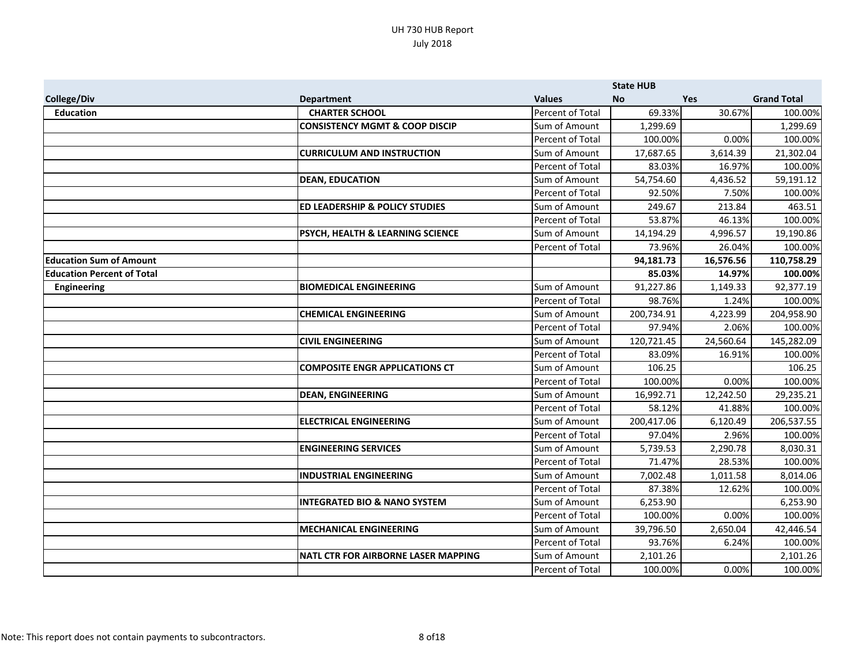|                                   |                                            |                         | <b>State HUB</b> |            |                    |
|-----------------------------------|--------------------------------------------|-------------------------|------------------|------------|--------------------|
| <b>College/Div</b>                | <b>Department</b>                          | <b>Values</b>           | <b>No</b>        | <b>Yes</b> | <b>Grand Total</b> |
| <b>Education</b>                  | <b>CHARTER SCHOOL</b>                      | <b>Percent of Total</b> | 69.33%           | 30.67%     | 100.00%            |
|                                   | <b>CONSISTENCY MGMT &amp; COOP DISCIP</b>  | Sum of Amount           | 1,299.69         |            | 1,299.69           |
|                                   |                                            | Percent of Total        | 100.00%          | 0.00%      | 100.00%            |
|                                   | <b>CURRICULUM AND INSTRUCTION</b>          | Sum of Amount           | 17,687.65        | 3,614.39   | 21,302.04          |
|                                   |                                            | Percent of Total        | 83.03%           | 16.97%     | 100.00%            |
|                                   | <b>DEAN, EDUCATION</b>                     | Sum of Amount           | 54,754.60        | 4,436.52   | 59,191.12          |
|                                   |                                            | Percent of Total        | 92.50%           | 7.50%      | 100.00%            |
|                                   | <b>ED LEADERSHIP &amp; POLICY STUDIES</b>  | Sum of Amount           | 249.67           | 213.84     | 463.51             |
|                                   |                                            | Percent of Total        | 53.87%           | 46.13%     | 100.00%            |
|                                   | PSYCH, HEALTH & LEARNING SCIENCE           | Sum of Amount           | 14,194.29        | 4,996.57   | 19,190.86          |
|                                   |                                            | Percent of Total        | 73.96%           | 26.04%     | 100.00%            |
| <b>Education Sum of Amount</b>    |                                            |                         | 94,181.73        | 16,576.56  | 110,758.29         |
| <b>Education Percent of Total</b> |                                            |                         | 85.03%           | 14.97%     | 100.00%            |
| <b>Engineering</b>                | <b>BIOMEDICAL ENGINEERING</b>              | Sum of Amount           | 91,227.86        | 1,149.33   | 92,377.19          |
|                                   |                                            | Percent of Total        | 98.76%           | 1.24%      | 100.00%            |
|                                   | <b>CHEMICAL ENGINEERING</b>                | Sum of Amount           | 200,734.91       | 4,223.99   | 204,958.90         |
|                                   |                                            | Percent of Total        | 97.94%           | 2.06%      | 100.00%            |
|                                   | <b>CIVIL ENGINEERING</b>                   | Sum of Amount           | 120,721.45       | 24,560.64  | 145,282.09         |
|                                   |                                            | Percent of Total        | 83.09%           | 16.91%     | 100.00%            |
|                                   | <b>COMPOSITE ENGR APPLICATIONS CT</b>      | Sum of Amount           | 106.25           |            | 106.25             |
|                                   |                                            | Percent of Total        | 100.00%          | 0.00%      | 100.00%            |
|                                   | <b>DEAN, ENGINEERING</b>                   | Sum of Amount           | 16,992.71        | 12,242.50  | 29,235.21          |
|                                   |                                            | Percent of Total        | 58.12%           | 41.88%     | 100.00%            |
|                                   | <b>ELECTRICAL ENGINEERING</b>              | Sum of Amount           | 200,417.06       | 6,120.49   | 206,537.55         |
|                                   |                                            | Percent of Total        | 97.04%           | 2.96%      | 100.00%            |
|                                   | <b>ENGINEERING SERVICES</b>                | Sum of Amount           | 5,739.53         | 2,290.78   | 8,030.31           |
|                                   |                                            | Percent of Total        | 71.47%           | 28.53%     | 100.00%            |
|                                   | <b>INDUSTRIAL ENGINEERING</b>              | Sum of Amount           | 7,002.48         | 1,011.58   | 8,014.06           |
|                                   |                                            | Percent of Total        | 87.38%           | 12.62%     | 100.00%            |
|                                   | <b>INTEGRATED BIO &amp; NANO SYSTEM</b>    | Sum of Amount           | 6,253.90         |            | 6,253.90           |
|                                   |                                            | Percent of Total        | 100.00%          | 0.00%      | 100.00%            |
|                                   | <b>MECHANICAL ENGINEERING</b>              | Sum of Amount           | 39,796.50        | 2,650.04   | 42,446.54          |
|                                   |                                            | Percent of Total        | 93.76%           | 6.24%      | 100.00%            |
|                                   | <b>NATL CTR FOR AIRBORNE LASER MAPPING</b> | Sum of Amount           | 2,101.26         |            | 2,101.26           |
|                                   |                                            | Percent of Total        | 100.00%          | 0.00%      | 100.00%            |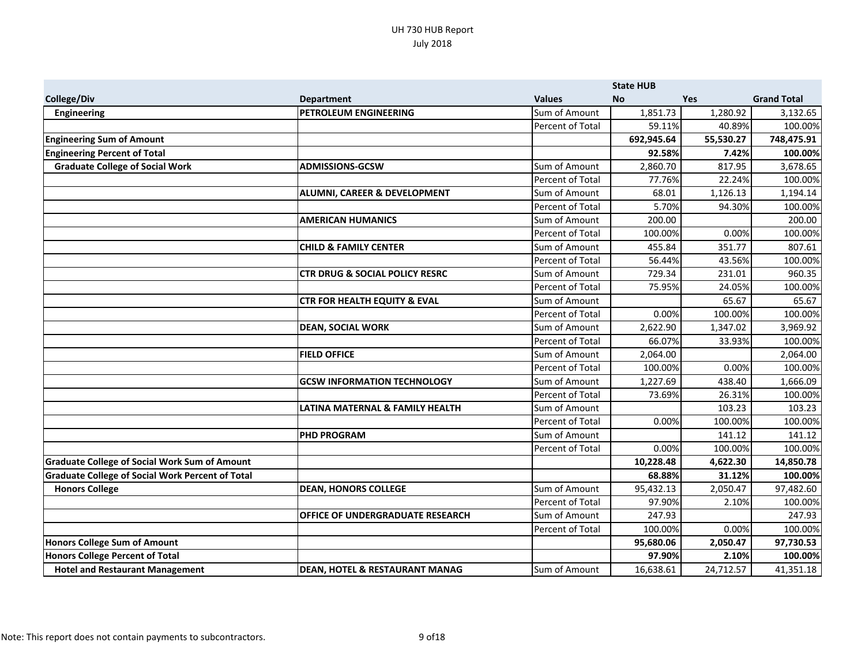|                                                         |                                           |                  | <b>State HUB</b> |            |                    |
|---------------------------------------------------------|-------------------------------------------|------------------|------------------|------------|--------------------|
| College/Div                                             | <b>Department</b>                         | <b>Values</b>    | <b>No</b>        | <b>Yes</b> | <b>Grand Total</b> |
| <b>Engineering</b>                                      | <b>PETROLEUM ENGINEERING</b>              | Sum of Amount    | 1,851.73         | 1,280.92   | 3,132.65           |
|                                                         |                                           | Percent of Total | 59.11%           | 40.89%     | 100.00%            |
| <b>Engineering Sum of Amount</b>                        |                                           |                  | 692,945.64       | 55,530.27  | 748,475.91         |
| <b>Engineering Percent of Total</b>                     |                                           |                  | 92.58%           | 7.42%      | 100.00%            |
| <b>Graduate College of Social Work</b>                  | <b>ADMISSIONS-GCSW</b>                    | Sum of Amount    | 2,860.70         | 817.95     | 3,678.65           |
|                                                         |                                           | Percent of Total | 77.76%           | 22.24%     | 100.00%            |
|                                                         | ALUMNI, CAREER & DEVELOPMENT              | Sum of Amount    | 68.01            | 1,126.13   | 1,194.14           |
|                                                         |                                           | Percent of Total | 5.70%            | 94.30%     | 100.00%            |
|                                                         | <b>AMERICAN HUMANICS</b>                  | Sum of Amount    | 200.00           |            | 200.00             |
|                                                         |                                           | Percent of Total | 100.00%          | 0.00%      | 100.00%            |
|                                                         | <b>CHILD &amp; FAMILY CENTER</b>          | Sum of Amount    | 455.84           | 351.77     | 807.61             |
|                                                         |                                           | Percent of Total | 56.44%           | 43.56%     | 100.00%            |
|                                                         | <b>CTR DRUG &amp; SOCIAL POLICY RESRC</b> | Sum of Amount    | 729.34           | 231.01     | 960.35             |
|                                                         |                                           | Percent of Total | 75.95%           | 24.05%     | 100.00%            |
|                                                         | <b>CTR FOR HEALTH EQUITY &amp; EVAL</b>   | Sum of Amount    |                  | 65.67      | 65.67              |
|                                                         |                                           | Percent of Total | 0.00%            | 100.00%    | 100.00%            |
|                                                         | <b>DEAN, SOCIAL WORK</b>                  | Sum of Amount    | 2,622.90         | 1,347.02   | 3,969.92           |
|                                                         |                                           | Percent of Total | 66.07%           | 33.93%     | 100.00%            |
|                                                         | <b>FIELD OFFICE</b>                       | Sum of Amount    | 2,064.00         |            | 2,064.00           |
|                                                         |                                           | Percent of Total | 100.00%          | 0.00%      | 100.00%            |
|                                                         | <b>GCSW INFORMATION TECHNOLOGY</b>        | Sum of Amount    | 1,227.69         | 438.40     | 1,666.09           |
|                                                         |                                           | Percent of Total | 73.69%           | 26.31%     | 100.00%            |
|                                                         | LATINA MATERNAL & FAMILY HEALTH           | Sum of Amount    |                  | 103.23     | 103.23             |
|                                                         |                                           | Percent of Total | 0.00%            | 100.00%    | 100.00%            |
|                                                         | <b>PHD PROGRAM</b>                        | Sum of Amount    |                  | 141.12     | 141.12             |
|                                                         |                                           | Percent of Total | 0.00%            | 100.00%    | 100.00%            |
| <b>Graduate College of Social Work Sum of Amount</b>    |                                           |                  | 10,228.48        | 4,622.30   | 14,850.78          |
| <b>Graduate College of Social Work Percent of Total</b> |                                           |                  | 68.88%           | 31.12%     | 100.00%            |
| <b>Honors College</b>                                   | <b>DEAN, HONORS COLLEGE</b>               | Sum of Amount    | 95,432.13        | 2,050.47   | 97,482.60          |
|                                                         |                                           | Percent of Total | 97.90%           | 2.10%      | 100.00%            |
|                                                         | <b>OFFICE OF UNDERGRADUATE RESEARCH</b>   | Sum of Amount    | 247.93           |            | 247.93             |
|                                                         |                                           | Percent of Total | 100.00%          | 0.00%      | 100.00%            |
| <b>Honors College Sum of Amount</b>                     |                                           |                  | 95,680.06        | 2,050.47   | 97,730.53          |
| <b>Honors College Percent of Total</b>                  |                                           |                  | 97.90%           | 2.10%      | 100.00%            |
| <b>Hotel and Restaurant Management</b>                  | <b>DEAN, HOTEL &amp; RESTAURANT MANAG</b> | Sum of Amount    | 16,638.61        | 24,712.57  | 41,351.18          |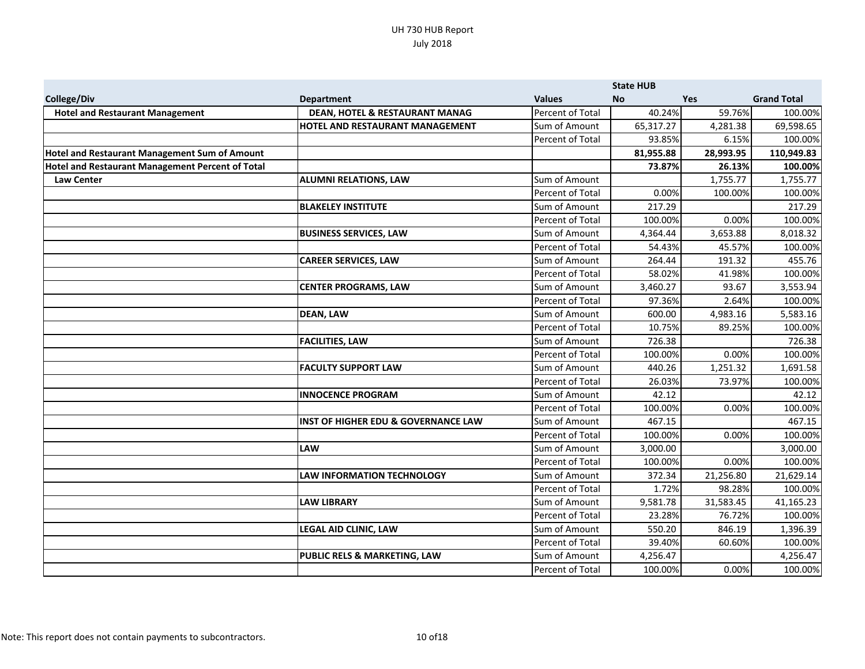|                                                         |                                                |                  | <b>State HUB</b> |            |                    |
|---------------------------------------------------------|------------------------------------------------|------------------|------------------|------------|--------------------|
| College/Div                                             | <b>Department</b>                              | <b>Values</b>    | <b>No</b>        | <b>Yes</b> | <b>Grand Total</b> |
| <b>Hotel and Restaurant Management</b>                  | <b>DEAN, HOTEL &amp; RESTAURANT MANAG</b>      | Percent of Total | 40.24%           | 59.76%     | 100.00%            |
|                                                         | HOTEL AND RESTAURANT MANAGEMENT                | Sum of Amount    | 65,317.27        | 4,281.38   | 69,598.65          |
|                                                         |                                                | Percent of Total | 93.85%           | 6.15%      | 100.00%            |
| Hotel and Restaurant Management Sum of Amount           |                                                |                  | 81,955.88        | 28,993.95  | 110,949.83         |
| <b>Hotel and Restaurant Management Percent of Total</b> |                                                |                  | 73.87%           | 26.13%     | 100.00%            |
| <b>Law Center</b>                                       | <b>ALUMNI RELATIONS, LAW</b>                   | Sum of Amount    |                  | 1,755.77   | 1,755.77           |
|                                                         |                                                | Percent of Total | 0.00%            | 100.00%    | 100.00%            |
|                                                         | <b>BLAKELEY INSTITUTE</b>                      | Sum of Amount    | 217.29           |            | 217.29             |
|                                                         |                                                | Percent of Total | 100.00%          | 0.00%      | 100.00%            |
|                                                         | <b>BUSINESS SERVICES, LAW</b>                  | Sum of Amount    | 4,364.44         | 3,653.88   | 8,018.32           |
|                                                         |                                                | Percent of Total | 54.43%           | 45.57%     | 100.00%            |
|                                                         | <b>CAREER SERVICES, LAW</b>                    | Sum of Amount    | 264.44           | 191.32     | 455.76             |
|                                                         |                                                | Percent of Total | 58.02%           | 41.98%     | 100.00%            |
|                                                         | <b>CENTER PROGRAMS, LAW</b>                    | Sum of Amount    | 3,460.27         | 93.67      | 3,553.94           |
|                                                         |                                                | Percent of Total | 97.36%           | 2.64%      | 100.00%            |
|                                                         | <b>DEAN, LAW</b>                               | Sum of Amount    | 600.00           | 4,983.16   | 5,583.16           |
|                                                         |                                                | Percent of Total | 10.75%           | 89.25%     | 100.00%            |
|                                                         | <b>FACILITIES, LAW</b>                         | Sum of Amount    | 726.38           |            | 726.38             |
|                                                         |                                                | Percent of Total | 100.00%          | 0.00%      | 100.00%            |
|                                                         | <b>FACULTY SUPPORT LAW</b>                     | Sum of Amount    | 440.26           | 1,251.32   | 1,691.58           |
|                                                         |                                                | Percent of Total | 26.03%           | 73.97%     | 100.00%            |
|                                                         | <b>INNOCENCE PROGRAM</b>                       | Sum of Amount    | 42.12            |            | 42.12              |
|                                                         |                                                | Percent of Total | 100.00%          | 0.00%      | 100.00%            |
|                                                         | <b>INST OF HIGHER EDU &amp; GOVERNANCE LAW</b> | Sum of Amount    | 467.15           |            | 467.15             |
|                                                         |                                                | Percent of Total | 100.00%          | 0.00%      | 100.00%            |
|                                                         | <b>LAW</b>                                     | Sum of Amount    | 3,000.00         |            | 3,000.00           |
|                                                         |                                                | Percent of Total | 100.00%          | 0.00%      | 100.00%            |
|                                                         | <b>LAW INFORMATION TECHNOLOGY</b>              | Sum of Amount    | 372.34           | 21,256.80  | 21,629.14          |
|                                                         |                                                | Percent of Total | 1.72%            | 98.28%     | 100.00%            |
|                                                         | <b>LAW LIBRARY</b>                             | Sum of Amount    | 9,581.78         | 31,583.45  | 41,165.23          |
|                                                         |                                                | Percent of Total | 23.28%           | 76.72%     | 100.00%            |
|                                                         | LEGAL AID CLINIC, LAW                          | Sum of Amount    | 550.20           | 846.19     | 1,396.39           |
|                                                         |                                                | Percent of Total | 39.40%           | 60.60%     | 100.00%            |
|                                                         | PUBLIC RELS & MARKETING, LAW                   | Sum of Amount    | 4,256.47         |            | 4,256.47           |
|                                                         |                                                | Percent of Total | 100.00%          | 0.00%      | 100.00%            |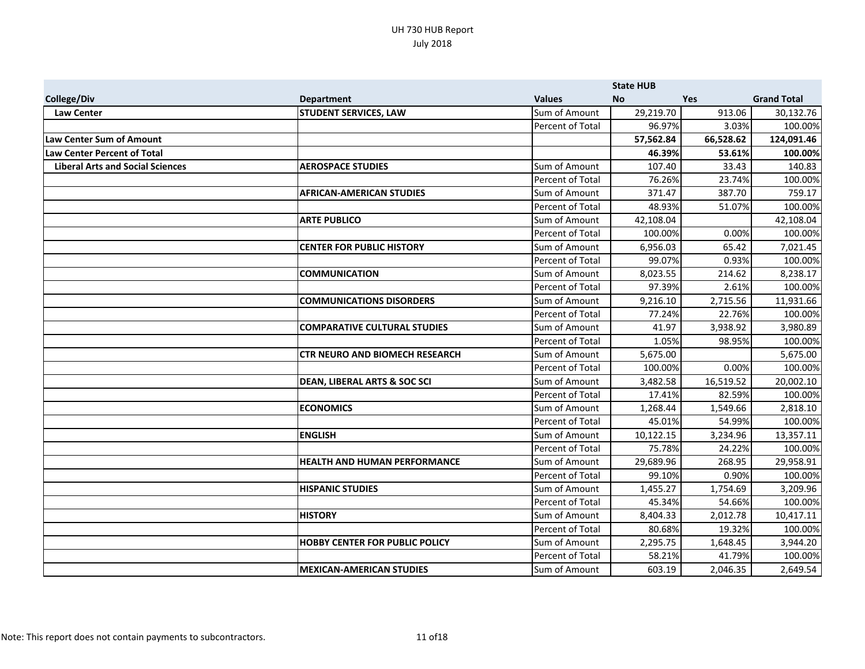|                                         |                                         |                         | <b>State HUB</b> |            |                    |
|-----------------------------------------|-----------------------------------------|-------------------------|------------------|------------|--------------------|
| College/Div                             | <b>Department</b>                       | <b>Values</b>           | No.              | <b>Yes</b> | <b>Grand Total</b> |
| <b>Law Center</b>                       | <b>STUDENT SERVICES, LAW</b>            | Sum of Amount           | 29,219.70        | 913.06     | 30,132.76          |
|                                         |                                         | Percent of Total        | 96.97%           | 3.03%      | 100.00%            |
| <b>Law Center Sum of Amount</b>         |                                         |                         | 57,562.84        | 66,528.62  | 124,091.46         |
| <b>Law Center Percent of Total</b>      |                                         |                         | 46.39%           | 53.61%     | 100.00%            |
| <b>Liberal Arts and Social Sciences</b> | <b>AEROSPACE STUDIES</b>                | Sum of Amount           | 107.40           | 33.43      | 140.83             |
|                                         |                                         | Percent of Total        | 76.26%           | 23.74%     | 100.00%            |
|                                         | <b>AFRICAN-AMERICAN STUDIES</b>         | Sum of Amount           | 371.47           | 387.70     | 759.17             |
|                                         |                                         | Percent of Total        | 48.93%           | 51.07%     | 100.00%            |
|                                         | <b>ARTE PUBLICO</b>                     | Sum of Amount           | 42,108.04        |            | 42,108.04          |
|                                         |                                         | Percent of Total        | 100.00%          | 0.00%      | 100.00%            |
|                                         | <b>CENTER FOR PUBLIC HISTORY</b>        | Sum of Amount           | 6,956.03         | 65.42      | 7,021.45           |
|                                         |                                         | Percent of Total        | 99.07%           | 0.93%      | 100.00%            |
|                                         | <b>COMMUNICATION</b>                    | Sum of Amount           | 8,023.55         | 214.62     | 8,238.17           |
|                                         |                                         | Percent of Total        | 97.39%           | 2.61%      | 100.00%            |
|                                         | <b>COMMUNICATIONS DISORDERS</b>         | Sum of Amount           | 9,216.10         | 2,715.56   | 11,931.66          |
|                                         |                                         | Percent of Total        | 77.24%           | 22.76%     | 100.00%            |
|                                         | <b>COMPARATIVE CULTURAL STUDIES</b>     | Sum of Amount           | 41.97            | 3,938.92   | 3,980.89           |
|                                         |                                         | Percent of Total        | 1.05%            | 98.95%     | 100.00%            |
|                                         | <b>CTR NEURO AND BIOMECH RESEARCH</b>   | Sum of Amount           | 5,675.00         |            | 5,675.00           |
|                                         |                                         | Percent of Total        | 100.00%          | 0.00%      | 100.00%            |
|                                         | <b>DEAN, LIBERAL ARTS &amp; SOC SCI</b> | Sum of Amount           | 3,482.58         | 16,519.52  | 20,002.10          |
|                                         |                                         | <b>Percent of Total</b> | 17.41%           | 82.59%     | 100.00%            |
|                                         | <b>ECONOMICS</b>                        | Sum of Amount           | 1,268.44         | 1,549.66   | 2,818.10           |
|                                         |                                         | Percent of Total        | 45.01%           | 54.99%     | 100.00%            |
|                                         | <b>ENGLISH</b>                          | Sum of Amount           | 10,122.15        | 3,234.96   | 13,357.11          |
|                                         |                                         | Percent of Total        | 75.78%           | 24.22%     | 100.00%            |
|                                         | <b>HEALTH AND HUMAN PERFORMANCE</b>     | Sum of Amount           | 29,689.96        | 268.95     | 29,958.91          |
|                                         |                                         | Percent of Total        | 99.10%           | 0.90%      | 100.00%            |
|                                         | <b>HISPANIC STUDIES</b>                 | Sum of Amount           | 1,455.27         | 1,754.69   | 3,209.96           |
|                                         |                                         | Percent of Total        | 45.34%           | 54.66%     | 100.00%            |
|                                         | <b>HISTORY</b>                          | Sum of Amount           | 8,404.33         | 2,012.78   | 10,417.11          |
|                                         |                                         | Percent of Total        | 80.68%           | 19.32%     | 100.00%            |
|                                         | <b>HOBBY CENTER FOR PUBLIC POLICY</b>   | Sum of Amount           | 2,295.75         | 1,648.45   | 3,944.20           |
|                                         |                                         | Percent of Total        | 58.21%           | 41.79%     | 100.00%            |
|                                         | <b>MEXICAN-AMERICAN STUDIES</b>         | Sum of Amount           | 603.19           | 2,046.35   | 2,649.54           |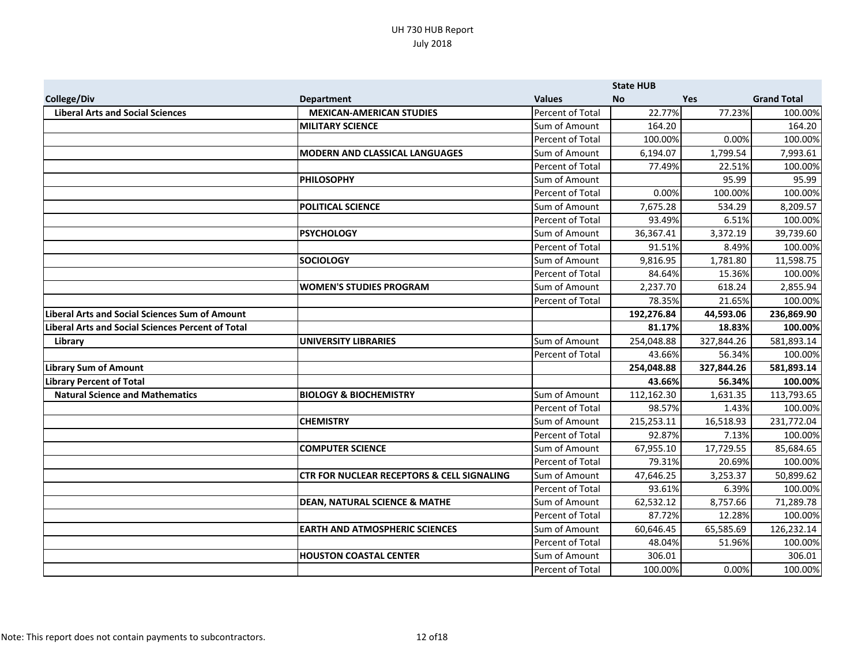|                                                          |                                                       |                  | <b>State HUB</b> |            |                    |
|----------------------------------------------------------|-------------------------------------------------------|------------------|------------------|------------|--------------------|
| College/Div                                              | <b>Department</b>                                     | <b>Values</b>    | <b>No</b>        | <b>Yes</b> | <b>Grand Total</b> |
| <b>Liberal Arts and Social Sciences</b>                  | <b>MEXICAN-AMERICAN STUDIES</b>                       | Percent of Total | 22.77%           | 77.23%     | 100.00%            |
|                                                          | <b>MILITARY SCIENCE</b>                               | Sum of Amount    | 164.20           |            | 164.20             |
|                                                          |                                                       | Percent of Total | 100.00%          | 0.00%      | 100.00%            |
|                                                          | <b>MODERN AND CLASSICAL LANGUAGES</b>                 | Sum of Amount    | 6,194.07         | 1,799.54   | 7,993.61           |
|                                                          |                                                       | Percent of Total | 77.49%           | 22.51%     | 100.00%            |
|                                                          | <b>PHILOSOPHY</b>                                     | Sum of Amount    |                  | 95.99      | 95.99              |
|                                                          |                                                       | Percent of Total | 0.00%            | 100.00%    | 100.00%            |
|                                                          | <b>POLITICAL SCIENCE</b>                              | Sum of Amount    | 7,675.28         | 534.29     | 8,209.57           |
|                                                          |                                                       | Percent of Total | 93.49%           | 6.51%      | 100.00%            |
|                                                          | <b>PSYCHOLOGY</b>                                     | Sum of Amount    | 36,367.41        | 3,372.19   | 39,739.60          |
|                                                          |                                                       | Percent of Total | 91.51%           | 8.49%      | 100.00%            |
|                                                          | <b>SOCIOLOGY</b>                                      | Sum of Amount    | 9,816.95         | 1,781.80   | 11,598.75          |
|                                                          |                                                       | Percent of Total | 84.64%           | 15.36%     | 100.00%            |
|                                                          | <b>WOMEN'S STUDIES PROGRAM</b>                        | Sum of Amount    | 2,237.70         | 618.24     | 2,855.94           |
|                                                          |                                                       | Percent of Total | 78.35%           | 21.65%     | 100.00%            |
| <b>Liberal Arts and Social Sciences Sum of Amount</b>    |                                                       |                  | 192,276.84       | 44,593.06  | 236,869.90         |
| <b>Liberal Arts and Social Sciences Percent of Total</b> |                                                       |                  | 81.17%           | 18.83%     | 100.00%            |
| Library                                                  | <b>UNIVERSITY LIBRARIES</b>                           | Sum of Amount    | 254,048.88       | 327,844.26 | 581,893.14         |
|                                                          |                                                       | Percent of Total | 43.66%           | 56.34%     | 100.00%            |
| <b>Library Sum of Amount</b>                             |                                                       |                  | 254,048.88       | 327,844.26 | 581,893.14         |
| <b>Library Percent of Total</b>                          |                                                       |                  | 43.66%           | 56.34%     | 100.00%            |
| <b>Natural Science and Mathematics</b>                   | <b>BIOLOGY &amp; BIOCHEMISTRY</b>                     | Sum of Amount    | 112,162.30       | 1,631.35   | 113,793.65         |
|                                                          |                                                       | Percent of Total | 98.57%           | 1.43%      | 100.00%            |
|                                                          | <b>CHEMISTRY</b>                                      | Sum of Amount    | 215,253.11       | 16,518.93  | 231,772.04         |
|                                                          |                                                       | Percent of Total | 92.87%           | 7.13%      | 100.00%            |
|                                                          | <b>COMPUTER SCIENCE</b>                               | Sum of Amount    | 67,955.10        | 17,729.55  | 85,684.65          |
|                                                          |                                                       | Percent of Total | 79.31%           | 20.69%     | 100.00%            |
|                                                          | <b>CTR FOR NUCLEAR RECEPTORS &amp; CELL SIGNALING</b> | Sum of Amount    | 47,646.25        | 3,253.37   | 50,899.62          |
|                                                          |                                                       | Percent of Total | 93.61%           | 6.39%      | 100.00%            |
|                                                          | <b>DEAN, NATURAL SCIENCE &amp; MATHE</b>              | Sum of Amount    | 62,532.12        | 8,757.66   | 71,289.78          |
|                                                          |                                                       | Percent of Total | 87.72%           | 12.28%     | 100.00%            |
|                                                          | <b>EARTH AND ATMOSPHERIC SCIENCES</b>                 | Sum of Amount    | 60,646.45        | 65,585.69  | 126,232.14         |
|                                                          |                                                       | Percent of Total | 48.04%           | 51.96%     | 100.00%            |
|                                                          | <b>HOUSTON COASTAL CENTER</b>                         | Sum of Amount    | 306.01           |            | 306.01             |
|                                                          |                                                       | Percent of Total | 100.00%          | 0.00%      | 100.00%            |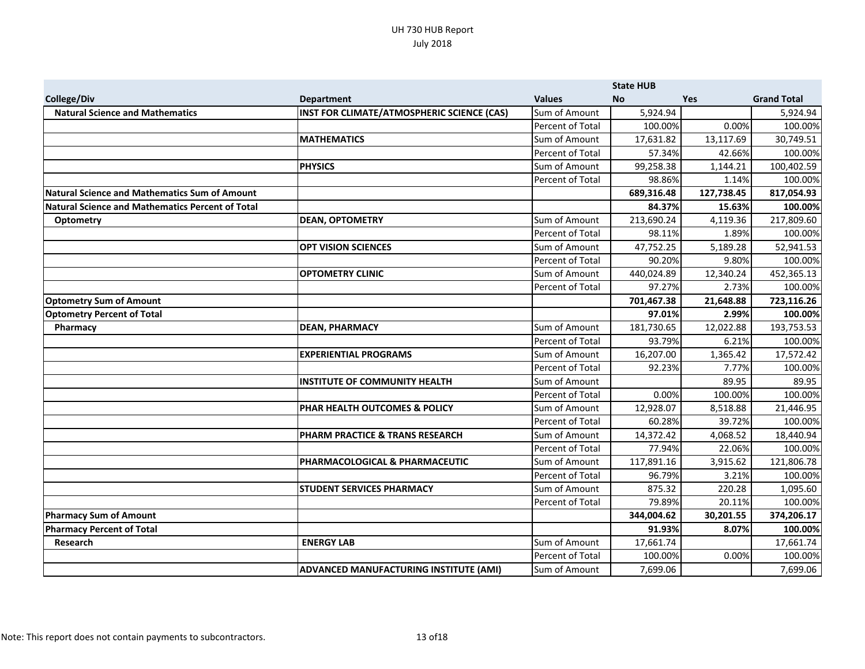|                                                         |                                               |                         | <b>State HUB</b> |            |                    |
|---------------------------------------------------------|-----------------------------------------------|-------------------------|------------------|------------|--------------------|
| <b>College/Div</b>                                      | <b>Department</b>                             | <b>Values</b>           | <b>No</b>        | <b>Yes</b> | <b>Grand Total</b> |
| <b>Natural Science and Mathematics</b>                  | INST FOR CLIMATE/ATMOSPHERIC SCIENCE (CAS)    | Sum of Amount           | 5,924.94         |            | 5,924.94           |
|                                                         |                                               | Percent of Total        | 100.00%          | 0.00%      | 100.00%            |
|                                                         | <b>MATHEMATICS</b>                            | Sum of Amount           | 17,631.82        | 13,117.69  | 30,749.51          |
|                                                         |                                               | Percent of Total        | 57.34%           | 42.66%     | 100.00%            |
|                                                         | <b>PHYSICS</b>                                | Sum of Amount           | 99,258.38        | 1,144.21   | 100,402.59         |
|                                                         |                                               | Percent of Total        | 98.86%           | 1.14%      | 100.00%            |
| <b>Natural Science and Mathematics Sum of Amount</b>    |                                               |                         | 689,316.48       | 127,738.45 | 817,054.93         |
| <b>Natural Science and Mathematics Percent of Total</b> |                                               |                         | 84.37%           | 15.63%     | 100.00%            |
| Optometry                                               | <b>DEAN, OPTOMETRY</b>                        | Sum of Amount           | 213,690.24       | 4,119.36   | 217,809.60         |
|                                                         |                                               | Percent of Total        | 98.11%           | 1.89%      | 100.00%            |
|                                                         | <b>OPT VISION SCIENCES</b>                    | Sum of Amount           | 47,752.25        | 5,189.28   | 52,941.53          |
|                                                         |                                               | Percent of Total        | 90.20%           | 9.80%      | 100.00%            |
|                                                         | <b>OPTOMETRY CLINIC</b>                       | Sum of Amount           | 440,024.89       | 12,340.24  | 452,365.13         |
|                                                         |                                               | Percent of Total        | 97.27%           | 2.73%      | 100.00%            |
| <b>Optometry Sum of Amount</b>                          |                                               |                         | 701,467.38       | 21,648.88  | 723,116.26         |
| <b>Optometry Percent of Total</b>                       |                                               |                         | 97.01%           | 2.99%      | 100.00%            |
| Pharmacy                                                | <b>DEAN, PHARMACY</b>                         | Sum of Amount           | 181,730.65       | 12,022.88  | 193,753.53         |
|                                                         |                                               | Percent of Total        | 93.79%           | 6.21%      | 100.00%            |
|                                                         | <b>EXPERIENTIAL PROGRAMS</b>                  | Sum of Amount           | 16,207.00        | 1,365.42   | 17,572.42          |
|                                                         |                                               | Percent of Total        | 92.23%           | 7.77%      | 100.00%            |
|                                                         | INSTITUTE OF COMMUNITY HEALTH                 | Sum of Amount           |                  | 89.95      | 89.95              |
|                                                         |                                               | Percent of Total        | 0.00%            | 100.00%    | 100.00%            |
|                                                         | PHAR HEALTH OUTCOMES & POLICY                 | Sum of Amount           | 12,928.07        | 8,518.88   | 21,446.95          |
|                                                         |                                               | Percent of Total        | 60.28%           | 39.72%     | 100.00%            |
|                                                         | PHARM PRACTICE & TRANS RESEARCH               | Sum of Amount           | 14,372.42        | 4,068.52   | 18,440.94          |
|                                                         |                                               | <b>Percent of Total</b> | 77.94%           | 22.06%     | 100.00%            |
|                                                         | PHARMACOLOGICAL & PHARMACEUTIC                | Sum of Amount           | 117,891.16       | 3,915.62   | 121,806.78         |
|                                                         |                                               | Percent of Total        | 96.79%           | 3.21%      | 100.00%            |
|                                                         | <b>STUDENT SERVICES PHARMACY</b>              | Sum of Amount           | 875.32           | 220.28     | 1,095.60           |
|                                                         |                                               | Percent of Total        | 79.89%           | 20.11%     | 100.00%            |
| <b>Pharmacy Sum of Amount</b>                           |                                               |                         | 344,004.62       | 30,201.55  | 374,206.17         |
| <b>Pharmacy Percent of Total</b>                        |                                               |                         | 91.93%           | 8.07%      | 100.00%            |
| Research                                                | <b>ENERGY LAB</b>                             | Sum of Amount           | 17,661.74        |            | 17,661.74          |
|                                                         |                                               | <b>Percent of Total</b> | 100.00%          | 0.00%      | 100.00%            |
|                                                         | <b>ADVANCED MANUFACTURING INSTITUTE (AMI)</b> | Sum of Amount           | 7,699.06         |            | 7,699.06           |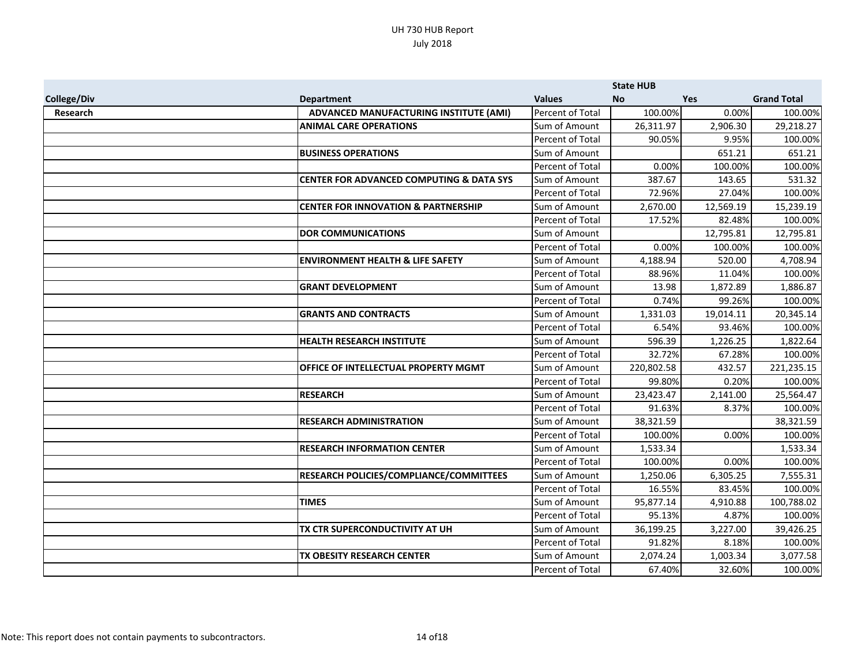|             |                                                     |                         | <b>State HUB</b> |            |                    |
|-------------|-----------------------------------------------------|-------------------------|------------------|------------|--------------------|
| College/Div | <b>Department</b>                                   | <b>Values</b>           | <b>No</b>        | <b>Yes</b> | <b>Grand Total</b> |
| Research    | ADVANCED MANUFACTURING INSTITUTE (AMI)              | <b>Percent of Total</b> | 100.00%          | 0.00%      | 100.00%            |
|             | <b>ANIMAL CARE OPERATIONS</b>                       | Sum of Amount           | 26,311.97        | 2,906.30   | 29,218.27          |
|             |                                                     | Percent of Total        | 90.05%           | 9.95%      | 100.00%            |
|             | <b>BUSINESS OPERATIONS</b>                          | Sum of Amount           |                  | 651.21     | 651.21             |
|             |                                                     | Percent of Total        | 0.00%            | 100.00%    | 100.00%            |
|             | <b>CENTER FOR ADVANCED COMPUTING &amp; DATA SYS</b> | Sum of Amount           | 387.67           | 143.65     | 531.32             |
|             |                                                     | Percent of Total        | 72.96%           | 27.04%     | 100.00%            |
|             | <b>CENTER FOR INNOVATION &amp; PARTNERSHIP</b>      | Sum of Amount           | 2,670.00         | 12,569.19  | 15,239.19          |
|             |                                                     | Percent of Total        | 17.52%           | 82.48%     | 100.00%            |
|             | <b>DOR COMMUNICATIONS</b>                           | Sum of Amount           |                  | 12,795.81  | 12,795.81          |
|             |                                                     | Percent of Total        | 0.00%            | 100.00%    | 100.00%            |
|             | <b>ENVIRONMENT HEALTH &amp; LIFE SAFETY</b>         | Sum of Amount           | 4,188.94         | 520.00     | 4,708.94           |
|             |                                                     | Percent of Total        | 88.96%           | 11.04%     | 100.00%            |
|             | <b>GRANT DEVELOPMENT</b>                            | Sum of Amount           | 13.98            | 1,872.89   | 1,886.87           |
|             |                                                     | Percent of Total        | 0.74%            | 99.26%     | 100.00%            |
|             | <b>GRANTS AND CONTRACTS</b>                         | Sum of Amount           | 1,331.03         | 19,014.11  | 20,345.14          |
|             |                                                     | Percent of Total        | 6.54%            | 93.46%     | 100.00%            |
|             | <b>HEALTH RESEARCH INSTITUTE</b>                    | Sum of Amount           | 596.39           | 1,226.25   | 1,822.64           |
|             |                                                     | Percent of Total        | 32.72%           | 67.28%     | 100.00%            |
|             | OFFICE OF INTELLECTUAL PROPERTY MGMT                | Sum of Amount           | 220,802.58       | 432.57     | 221,235.15         |
|             |                                                     | Percent of Total        | 99.80%           | 0.20%      | 100.00%            |
|             | <b>RESEARCH</b>                                     | Sum of Amount           | 23,423.47        | 2,141.00   | 25,564.47          |
|             |                                                     | Percent of Total        | 91.63%           | 8.37%      | 100.00%            |
|             | <b>RESEARCH ADMINISTRATION</b>                      | Sum of Amount           | 38,321.59        |            | 38,321.59          |
|             |                                                     | Percent of Total        | 100.00%          | 0.00%      | 100.00%            |
|             | <b>RESEARCH INFORMATION CENTER</b>                  | Sum of Amount           | 1,533.34         |            | 1,533.34           |
|             |                                                     | Percent of Total        | 100.00%          | 0.00%      | 100.00%            |
|             | RESEARCH POLICIES/COMPLIANCE/COMMITTEES             | Sum of Amount           | 1,250.06         | 6,305.25   | 7,555.31           |
|             |                                                     | Percent of Total        | 16.55%           | 83.45%     | 100.00%            |
|             | <b>TIMES</b>                                        | Sum of Amount           | 95,877.14        | 4,910.88   | 100,788.02         |
|             |                                                     | Percent of Total        | 95.13%           | 4.87%      | 100.00%            |
|             | TX CTR SUPERCONDUCTIVITY AT UH                      | Sum of Amount           | 36,199.25        | 3,227.00   | 39,426.25          |
|             |                                                     | Percent of Total        | 91.82%           | 8.18%      | 100.00%            |
|             | <b>TX OBESITY RESEARCH CENTER</b>                   | Sum of Amount           | 2,074.24         | 1,003.34   | 3,077.58           |
|             |                                                     | Percent of Total        | 67.40%           | 32.60%     | 100.00%            |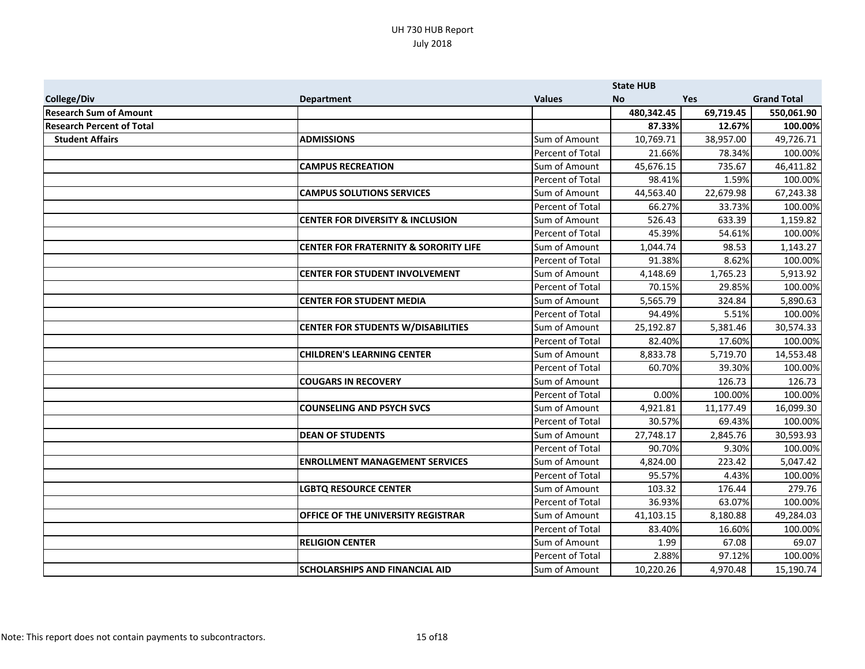|                                  |                                                  |                         | <b>State HUB</b> |           |                    |
|----------------------------------|--------------------------------------------------|-------------------------|------------------|-----------|--------------------|
| <b>College/Div</b>               | <b>Department</b>                                | <b>Values</b>           | <b>No</b>        | Yes       | <b>Grand Total</b> |
| <b>Research Sum of Amount</b>    |                                                  |                         | 480,342.45       | 69,719.45 | 550,061.90         |
| <b>Research Percent of Total</b> |                                                  |                         | 87.33%           | 12.67%    | 100.00%            |
| <b>Student Affairs</b>           | <b>ADMISSIONS</b>                                | Sum of Amount           | 10,769.71        | 38,957.00 | 49,726.71          |
|                                  |                                                  | Percent of Total        | 21.66%           | 78.34%    | 100.00%            |
|                                  | <b>CAMPUS RECREATION</b>                         | Sum of Amount           | 45,676.15        | 735.67    | 46,411.82          |
|                                  |                                                  | Percent of Total        | 98.41%           | 1.59%     | 100.00%            |
|                                  | <b>CAMPUS SOLUTIONS SERVICES</b>                 | Sum of Amount           | 44,563.40        | 22,679.98 | 67,243.38          |
|                                  |                                                  | Percent of Total        | 66.27%           | 33.73%    | 100.00%            |
|                                  | <b>CENTER FOR DIVERSITY &amp; INCLUSION</b>      | Sum of Amount           | 526.43           | 633.39    | 1,159.82           |
|                                  |                                                  | Percent of Total        | 45.39%           | 54.61%    | 100.00%            |
|                                  | <b>CENTER FOR FRATERNITY &amp; SORORITY LIFE</b> | Sum of Amount           | 1,044.74         | 98.53     | 1,143.27           |
|                                  |                                                  | Percent of Total        | 91.38%           | 8.62%     | 100.00%            |
|                                  | <b>CENTER FOR STUDENT INVOLVEMENT</b>            | Sum of Amount           | 4,148.69         | 1,765.23  | 5,913.92           |
|                                  |                                                  | Percent of Total        | 70.15%           | 29.85%    | 100.00%            |
|                                  | <b>CENTER FOR STUDENT MEDIA</b>                  | Sum of Amount           | 5,565.79         | 324.84    | 5,890.63           |
|                                  |                                                  | Percent of Total        | 94.49%           | 5.51%     | 100.00%            |
|                                  | <b>CENTER FOR STUDENTS W/DISABILITIES</b>        | Sum of Amount           | 25,192.87        | 5,381.46  | 30,574.33          |
|                                  |                                                  | Percent of Total        | 82.40%           | 17.60%    | 100.00%            |
|                                  | <b>CHILDREN'S LEARNING CENTER</b>                | Sum of Amount           | 8,833.78         | 5,719.70  | 14,553.48          |
|                                  |                                                  | Percent of Total        | 60.70%           | 39.30%    | 100.00%            |
|                                  | <b>COUGARS IN RECOVERY</b>                       | Sum of Amount           |                  | 126.73    | 126.73             |
|                                  |                                                  | <b>Percent of Total</b> | 0.00%            | 100.00%   | 100.00%            |
|                                  | <b>COUNSELING AND PSYCH SVCS</b>                 | Sum of Amount           | 4,921.81         | 11.177.49 | 16,099.30          |
|                                  |                                                  | Percent of Total        | 30.57%           | 69.43%    | 100.00%            |
|                                  | <b>DEAN OF STUDENTS</b>                          | Sum of Amount           | 27,748.17        | 2,845.76  | 30,593.93          |
|                                  |                                                  | Percent of Total        | 90.70%           | 9.30%     | 100.00%            |
|                                  | <b>ENROLLMENT MANAGEMENT SERVICES</b>            | Sum of Amount           | 4,824.00         | 223.42    | 5,047.42           |
|                                  |                                                  | Percent of Total        | 95.57%           | 4.43%     | 100.00%            |
|                                  | <b>LGBTQ RESOURCE CENTER</b>                     | Sum of Amount           | 103.32           | 176.44    | 279.76             |
|                                  |                                                  | Percent of Total        | 36.93%           | 63.07%    | 100.00%            |
|                                  | OFFICE OF THE UNIVERSITY REGISTRAR               | Sum of Amount           | 41,103.15        | 8,180.88  | 49,284.03          |
|                                  |                                                  | Percent of Total        | 83.40%           | 16.60%    | 100.00%            |
|                                  | <b>RELIGION CENTER</b>                           | Sum of Amount           | 1.99             | 67.08     | 69.07              |
|                                  |                                                  | Percent of Total        | 2.88%            | 97.12%    | 100.00%            |
|                                  | <b>SCHOLARSHIPS AND FINANCIAL AID</b>            | Sum of Amount           | 10,220.26        | 4,970.48  | 15,190.74          |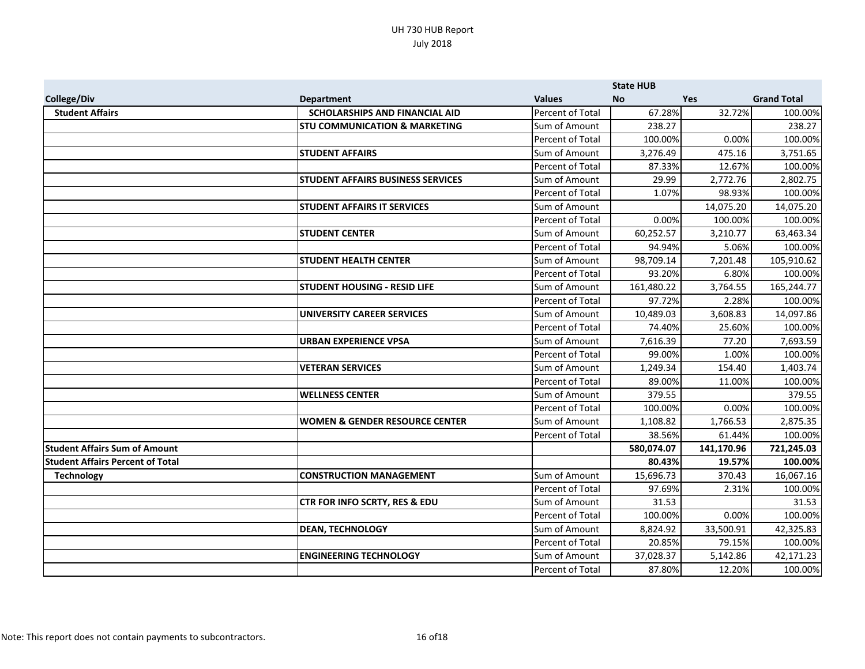|                                         |                                           |                         | <b>State HUB</b> |            |                    |
|-----------------------------------------|-------------------------------------------|-------------------------|------------------|------------|--------------------|
| College/Div                             | <b>Department</b>                         | <b>Values</b>           | <b>No</b>        | <b>Yes</b> | <b>Grand Total</b> |
| <b>Student Affairs</b>                  | <b>SCHOLARSHIPS AND FINANCIAL AID</b>     | <b>Percent of Total</b> | 67.28%           | 32.72%     | 100.00%            |
|                                         | <b>STU COMMUNICATION &amp; MARKETING</b>  | Sum of Amount           | 238.27           |            | 238.27             |
|                                         |                                           | Percent of Total        | 100.00%          | 0.00%      | 100.00%            |
|                                         | <b>STUDENT AFFAIRS</b>                    | Sum of Amount           | 3,276.49         | 475.16     | 3,751.65           |
|                                         |                                           | Percent of Total        | 87.33%           | 12.67%     | 100.00%            |
|                                         | <b>STUDENT AFFAIRS BUSINESS SERVICES</b>  | Sum of Amount           | 29.99            | 2,772.76   | 2,802.75           |
|                                         |                                           | Percent of Total        | 1.07%            | 98.93%     | 100.00%            |
|                                         | <b>STUDENT AFFAIRS IT SERVICES</b>        | Sum of Amount           |                  | 14,075.20  | 14,075.20          |
|                                         |                                           | Percent of Total        | 0.00%            | 100.00%    | 100.00%            |
|                                         | <b>STUDENT CENTER</b>                     | Sum of Amount           | 60,252.57        | 3,210.77   | 63,463.34          |
|                                         |                                           | Percent of Total        | 94.94%           | 5.06%      | 100.00%            |
|                                         | <b>STUDENT HEALTH CENTER</b>              | Sum of Amount           | 98,709.14        | 7,201.48   | 105,910.62         |
|                                         |                                           | Percent of Total        | 93.20%           | 6.80%      | 100.00%            |
|                                         | <b>STUDENT HOUSING - RESID LIFE</b>       | Sum of Amount           | 161,480.22       | 3,764.55   | 165,244.77         |
|                                         |                                           | Percent of Total        | 97.72%           | 2.28%      | 100.00%            |
|                                         | <b>UNIVERSITY CAREER SERVICES</b>         | Sum of Amount           | 10,489.03        | 3,608.83   | 14,097.86          |
|                                         |                                           | Percent of Total        | 74.40%           | 25.60%     | 100.00%            |
|                                         | <b>URBAN EXPERIENCE VPSA</b>              | Sum of Amount           | 7,616.39         | 77.20      | 7,693.59           |
|                                         |                                           | Percent of Total        | 99.00%           | 1.00%      | 100.00%            |
|                                         | <b>VETERAN SERVICES</b>                   | Sum of Amount           | 1,249.34         | 154.40     | 1,403.74           |
|                                         |                                           | Percent of Total        | 89.00%           | 11.00%     | 100.00%            |
|                                         | <b>WELLNESS CENTER</b>                    | Sum of Amount           | 379.55           |            | 379.55             |
|                                         |                                           | Percent of Total        | 100.00%          | 0.00%      | 100.00%            |
|                                         | <b>WOMEN &amp; GENDER RESOURCE CENTER</b> | Sum of Amount           | 1,108.82         | 1,766.53   | 2,875.35           |
|                                         |                                           | Percent of Total        | 38.56%           | 61.44%     | 100.00%            |
| <b>Student Affairs Sum of Amount</b>    |                                           |                         | 580,074.07       | 141,170.96 | 721,245.03         |
| <b>Student Affairs Percent of Total</b> |                                           |                         | 80.43%           | 19.57%     | 100.00%            |
| <b>Technology</b>                       | <b>CONSTRUCTION MANAGEMENT</b>            | Sum of Amount           | 15,696.73        | 370.43     | 16,067.16          |
|                                         |                                           | Percent of Total        | 97.69%           | 2.31%      | 100.00%            |
|                                         | CTR FOR INFO SCRTY, RES & EDU             | Sum of Amount           | 31.53            |            | 31.53              |
|                                         |                                           | Percent of Total        | 100.00%          | 0.00%      | 100.00%            |
|                                         | <b>DEAN, TECHNOLOGY</b>                   | Sum of Amount           | 8,824.92         | 33,500.91  | 42,325.83          |
|                                         |                                           | Percent of Total        | 20.85%           | 79.15%     | 100.00%            |
|                                         | <b>ENGINEERING TECHNOLOGY</b>             | Sum of Amount           | 37,028.37        | 5,142.86   | 42,171.23          |
|                                         |                                           | Percent of Total        | 87.80%           | 12.20%     | 100.00%            |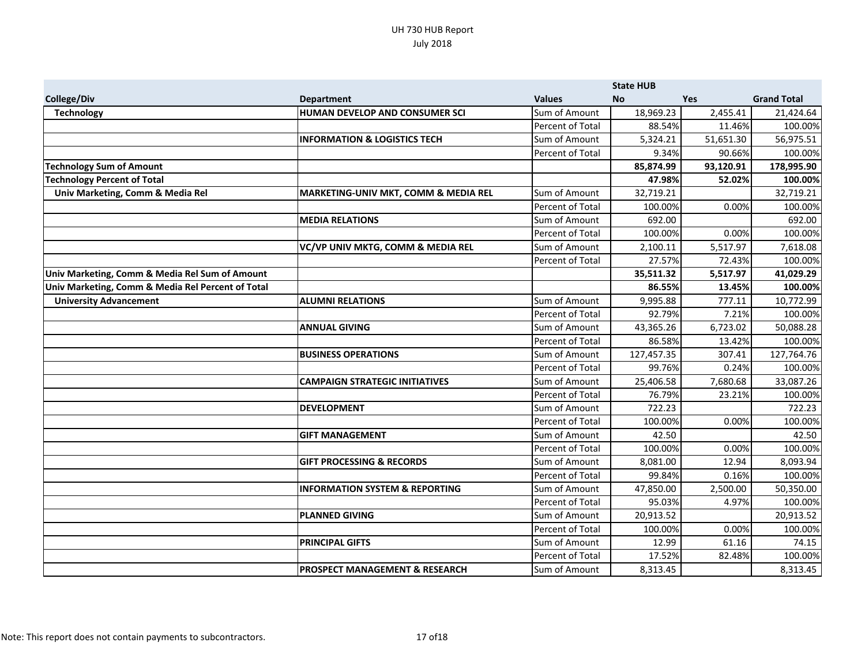|                                                   |                                           |                  | <b>State HUB</b> |            |                    |
|---------------------------------------------------|-------------------------------------------|------------------|------------------|------------|--------------------|
| College/Div                                       | <b>Department</b>                         | <b>Values</b>    | <b>No</b>        | <b>Yes</b> | <b>Grand Total</b> |
| <b>Technology</b>                                 | HUMAN DEVELOP AND CONSUMER SCI            | Sum of Amount    | 18,969.23        | 2,455.41   | 21,424.64          |
|                                                   |                                           | Percent of Total | 88.54%           | 11.46%     | 100.00%            |
|                                                   | <b>INFORMATION &amp; LOGISTICS TECH</b>   | Sum of Amount    | 5,324.21         | 51,651.30  | 56,975.51          |
|                                                   |                                           | Percent of Total | 9.34%            | 90.66%     | 100.00%            |
| <b>Technology Sum of Amount</b>                   |                                           |                  | 85,874.99        | 93,120.91  | 178,995.90         |
| <b>Technology Percent of Total</b>                |                                           |                  | 47.98%           | 52.02%     | 100.00%            |
| Univ Marketing, Comm & Media Rel                  | MARKETING-UNIV MKT, COMM & MEDIA REL      | Sum of Amount    | 32,719.21        |            | 32,719.21          |
|                                                   |                                           | Percent of Total | 100.00%          | 0.00%      | 100.00%            |
|                                                   | <b>MEDIA RELATIONS</b>                    | Sum of Amount    | 692.00           |            | 692.00             |
|                                                   |                                           | Percent of Total | 100.00%          | 0.00%      | 100.00%            |
|                                                   | VC/VP UNIV MKTG, COMM & MEDIA REL         | Sum of Amount    | 2,100.11         | 5,517.97   | 7,618.08           |
|                                                   |                                           | Percent of Total | 27.57%           | 72.43%     | 100.00%            |
| Univ Marketing, Comm & Media Rel Sum of Amount    |                                           |                  | 35,511.32        | 5,517.97   | 41,029.29          |
| Univ Marketing, Comm & Media Rel Percent of Total |                                           |                  | 86.55%           | 13.45%     | 100.00%            |
| <b>University Advancement</b>                     | <b>ALUMNI RELATIONS</b>                   | Sum of Amount    | 9,995.88         | 777.11     | 10,772.99          |
|                                                   |                                           | Percent of Total | 92.79%           | 7.21%      | 100.00%            |
|                                                   | <b>ANNUAL GIVING</b>                      | Sum of Amount    | 43,365.26        | 6,723.02   | 50,088.28          |
|                                                   |                                           | Percent of Total | 86.58%           | 13.42%     | 100.00%            |
|                                                   | <b>BUSINESS OPERATIONS</b>                | Sum of Amount    | 127,457.35       | 307.41     | 127,764.76         |
|                                                   |                                           | Percent of Total | 99.76%           | 0.24%      | 100.00%            |
|                                                   | <b>CAMPAIGN STRATEGIC INITIATIVES</b>     | Sum of Amount    | 25,406.58        | 7,680.68   | 33,087.26          |
|                                                   |                                           | Percent of Total | 76.79%           | 23.21%     | 100.00%            |
|                                                   | <b>DEVELOPMENT</b>                        | Sum of Amount    | 722.23           |            | 722.23             |
|                                                   |                                           | Percent of Total | 100.00%          | 0.00%      | 100.00%            |
|                                                   | <b>GIFT MANAGEMENT</b>                    | Sum of Amount    | 42.50            |            | 42.50              |
|                                                   |                                           | Percent of Total | 100.00%          | 0.00%      | 100.00%            |
|                                                   | <b>GIFT PROCESSING &amp; RECORDS</b>      | Sum of Amount    | 8,081.00         | 12.94      | 8,093.94           |
|                                                   |                                           | Percent of Total | 99.84%           | 0.16%      | 100.00%            |
|                                                   | <b>INFORMATION SYSTEM &amp; REPORTING</b> | Sum of Amount    | 47,850.00        | 2,500.00   | 50,350.00          |
|                                                   |                                           | Percent of Total | 95.03%           | 4.97%      | 100.00%            |
|                                                   | <b>PLANNED GIVING</b>                     | Sum of Amount    | 20,913.52        |            | 20,913.52          |
|                                                   |                                           | Percent of Total | 100.00%          | 0.00%      | 100.00%            |
|                                                   | <b>PRINCIPAL GIFTS</b>                    | Sum of Amount    | 12.99            | 61.16      | 74.15              |
|                                                   |                                           | Percent of Total | 17.52%           | 82.48%     | 100.00%            |
|                                                   | <b>PROSPECT MANAGEMENT &amp; RESEARCH</b> | Sum of Amount    | 8,313.45         |            | 8,313.45           |